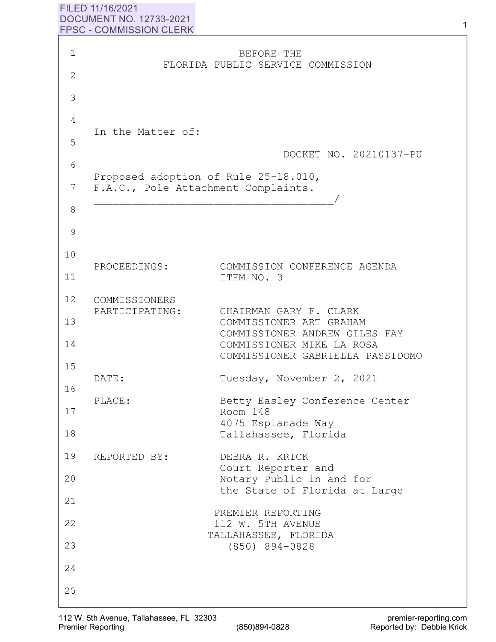## **FILED 11/16/2021 DOCUMENT NO. 12733-2021 FPSC** - **COMMISSION CLERK**

| $\mathbf 1$    |                                                                             | BEFORE THE                                                                         |
|----------------|-----------------------------------------------------------------------------|------------------------------------------------------------------------------------|
| 2              |                                                                             | FLORIDA PUBLIC SERVICE COMMISSION                                                  |
| 3              |                                                                             |                                                                                    |
| $\overline{4}$ |                                                                             |                                                                                    |
| 5              | In the Matter of:                                                           |                                                                                    |
| 6              |                                                                             | DOCKET NO. 20210137-PU                                                             |
| 7              | Proposed adoption of Rule 25-18.010,<br>F.A.C., Pole Attachment Complaints. |                                                                                    |
| 8              |                                                                             |                                                                                    |
| 9              |                                                                             |                                                                                    |
| 10             |                                                                             |                                                                                    |
| 11             | PROCEEDINGS:                                                                | COMMISSION CONFERENCE AGENDA<br>ITEM NO. 3                                         |
| 12             | COMMISSIONERS                                                               |                                                                                    |
| 13             | PARTICIPATING:                                                              | CHAIRMAN GARY F. CLARK<br>COMMISSIONER ART GRAHAM<br>COMMISSIONER ANDREW GILES FAY |
| 14             |                                                                             | COMMISSIONER MIKE LA ROSA<br>COMMISSIONER GABRIELLA PASSIDOMO                      |
| 15<br>16       | DATE:                                                                       | Tuesday, November 2, 2021                                                          |
| 17             | PLACE:                                                                      | Betty Easley Conference Center<br>Room 148                                         |
| 18             |                                                                             | 4075 Esplanade Way<br>Tallahassee, Florida                                         |
| 19             | REPORTED BY:                                                                | DEBRA R. KRICK<br>Court Reporter and                                               |
| 20             |                                                                             | Notary Public in and for                                                           |
| 21             |                                                                             | the State of Florida at Large                                                      |
| 22             |                                                                             | PREMIER REPORTING<br>112 W. 5TH AVENUE                                             |
| 23             |                                                                             | TALLAHASSEE, FLORIDA<br>$(850)$ 894-0828                                           |
| 24             |                                                                             |                                                                                    |
| 25             |                                                                             |                                                                                    |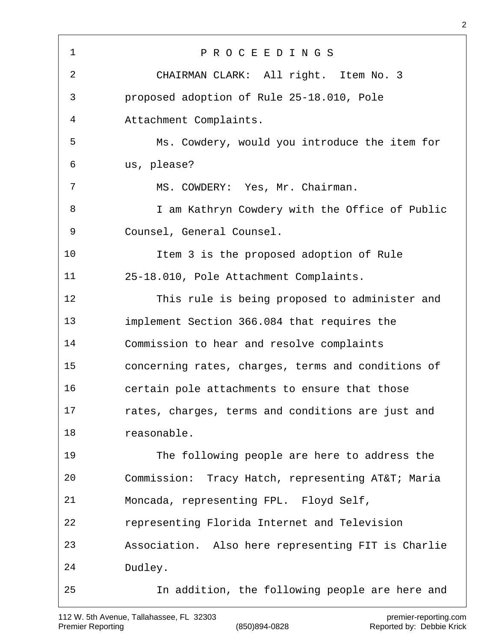P R O C E E D I N G S CHAIRMAN CLARK: All right. Item No. 3 proposed adoption of Rule 25-18.010, Pole Attachment Complaints. Ms. Cowdery, would you introduce the item for us, please? MS. COWDERY: Yes, Mr. Chairman. 8 I am Kathryn Cowdery with the Office of Public Counsel, General Counsel. Item 3 is the proposed adoption of Rule 25-18.010, Pole Attachment Complaints. This rule is being proposed to administer and implement Section 366.084 that requires the Commission to hear and resolve complaints concerning rates, charges, terms and conditions of certain pole attachments to ensure that those rates, charges, terms and conditions are just and reasonable. The following people are here to address the Commission: Tracy Hatch, representing AT&T; Maria Moncada, representing FPL. Floyd Self, representing Florida Internet and Television Association. Also here representing FIT is Charlie Dudley. In addition, the following people are here and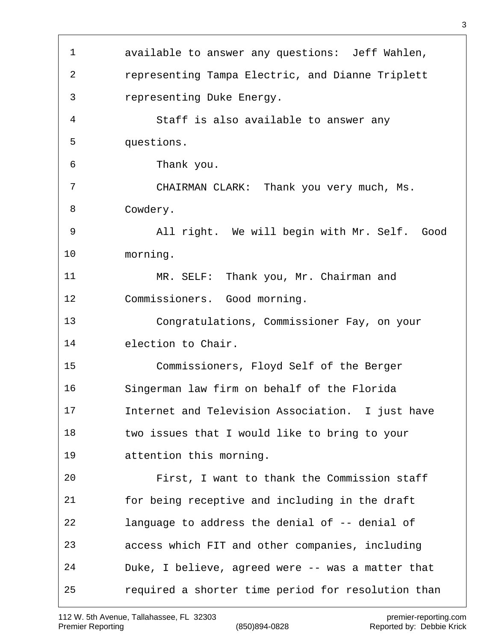available to answer any questions: Jeff Wahlen, representing Tampa Electric, and Dianne Triplett representing Duke Energy. Staff is also available to answer any questions. Thank you. CHAIRMAN CLARK: Thank you very much, Ms. Cowdery. All right. We will begin with Mr. Self. Good morning. MR. SELF: Thank you, Mr. Chairman and Commissioners. Good morning. Congratulations, Commissioner Fay, on your election to Chair. Commissioners, Floyd Self of the Berger Singerman law firm on behalf of the Florida Internet and Television Association. I just have two issues that I would like to bring to your attention this morning. First, I want to thank the Commission staff for being receptive and including in the draft language to address the denial of -- denial of access which FIT and other companies, including Duke, I believe, agreed were -- was a matter that required a shorter time period for resolution than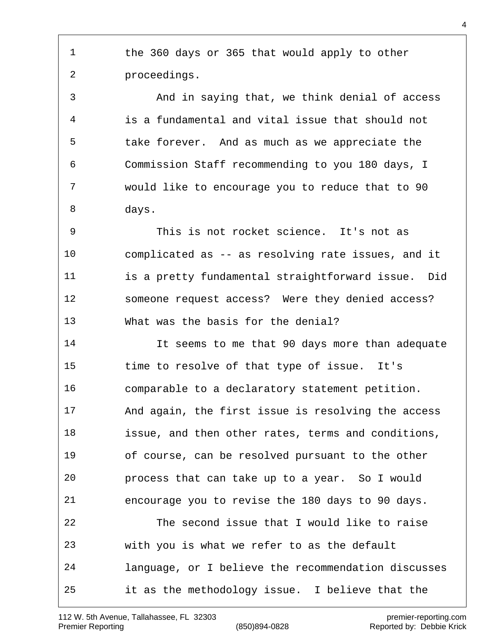the 360 days or 365 that would apply to other proceedings.

 And in saying that, we think denial of access is a fundamental and vital issue that should not take forever. And as much as we appreciate the Commission Staff recommending to you 180 days, I would like to encourage you to reduce that to 90 days.

 This is not rocket science. It's not as complicated as -- as resolving rate issues, and it is a pretty fundamental straightforward issue. Did someone request access? Were they denied access? What was the basis for the denial?

 It seems to me that 90 days more than adequate time to resolve of that type of issue. It's comparable to a declaratory statement petition. And again, the first issue is resolving the access issue, and then other rates, terms and conditions, of course, can be resolved pursuant to the other process that can take up to a year. So I would encourage you to revise the 180 days to 90 days. The second issue that I would like to raise with you is what we refer to as the default language, or I believe the recommendation discusses it as the methodology issue. I believe that the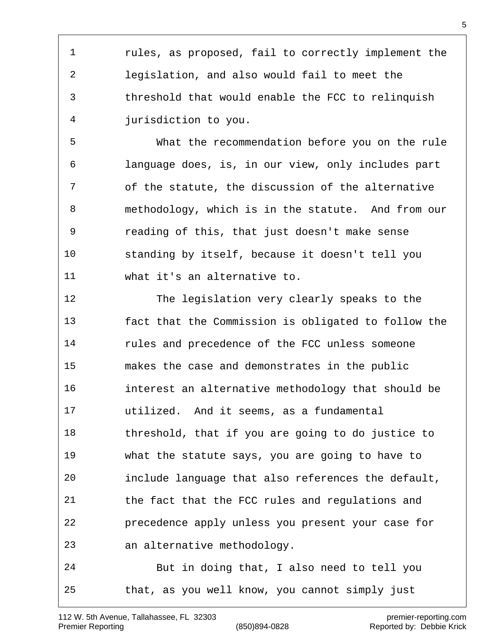rules, as proposed, fail to correctly implement the legislation, and also would fail to meet the threshold that would enable the FCC to relinquish jurisdiction to you.

 What the recommendation before you on the rule language does, is, in our view, only includes part of the statute, the discussion of the alternative methodology, which is in the statute. And from our reading of this, that just doesn't make sense standing by itself, because it doesn't tell you what it's an alternative to.

 The legislation very clearly speaks to the fact that the Commission is obligated to follow the rules and precedence of the FCC unless someone makes the case and demonstrates in the public interest an alternative methodology that should be utilized. And it seems, as a fundamental threshold, that if you are going to do justice to what the statute says, you are going to have to include language that also references the default, the fact that the FCC rules and regulations and precedence apply unless you present your case for an alternative methodology. But in doing that, I also need to tell you

that, as you well know, you cannot simply just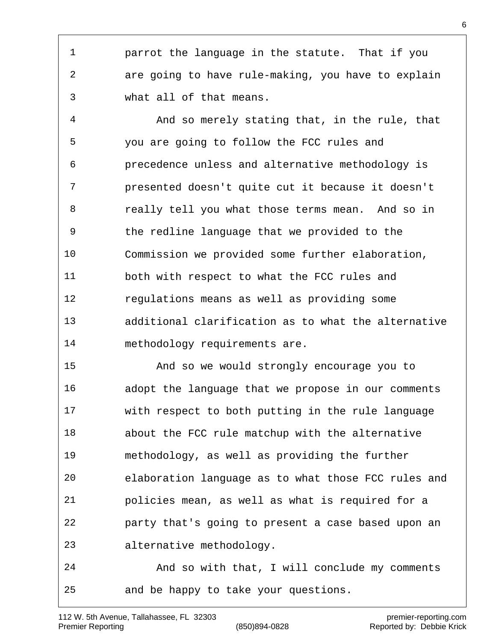parrot the language in the statute. That if you are going to have rule-making, you have to explain what all of that means.

 And so merely stating that, in the rule, that you are going to follow the FCC rules and precedence unless and alternative methodology is presented doesn't quite cut it because it doesn't really tell you what those terms mean. And so in the redline language that we provided to the Commission we provided some further elaboration, both with respect to what the FCC rules and regulations means as well as providing some additional clarification as to what the alternative methodology requirements are.

 And so we would strongly encourage you to adopt the language that we propose in our comments with respect to both putting in the rule language about the FCC rule matchup with the alternative methodology, as well as providing the further elaboration language as to what those FCC rules and policies mean, as well as what is required for a party that's going to present a case based upon an alternative methodology.

 And so with that, I will conclude my comments and be happy to take your questions.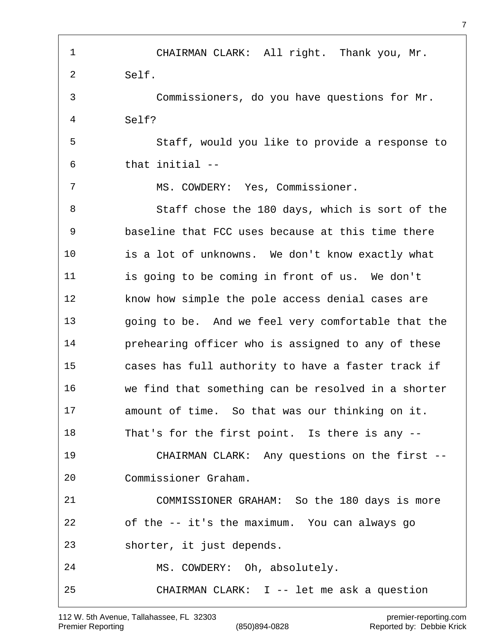CHAIRMAN CLARK: All right. Thank you, Mr. Self. Commissioners, do you have questions for Mr. Self? Staff, would you like to provide a response to that initial -- MS. COWDERY: Yes, Commissioner. Staff chose the 180 days, which is sort of the baseline that FCC uses because at this time there is a lot of unknowns. We don't know exactly what is going to be coming in front of us. We don't know how simple the pole access denial cases are going to be. And we feel very comfortable that the prehearing officer who is assigned to any of these cases has full authority to have a faster track if we find that something can be resolved in a shorter amount of time. So that was our thinking on it. That's for the first point. Is there is any -- CHAIRMAN CLARK: Any questions on the first -- Commissioner Graham. COMMISSIONER GRAHAM: So the 180 days is more of the -- it's the maximum. You can always go shorter, it just depends. MS. COWDERY: Oh, absolutely. CHAIRMAN CLARK: I -- let me ask a question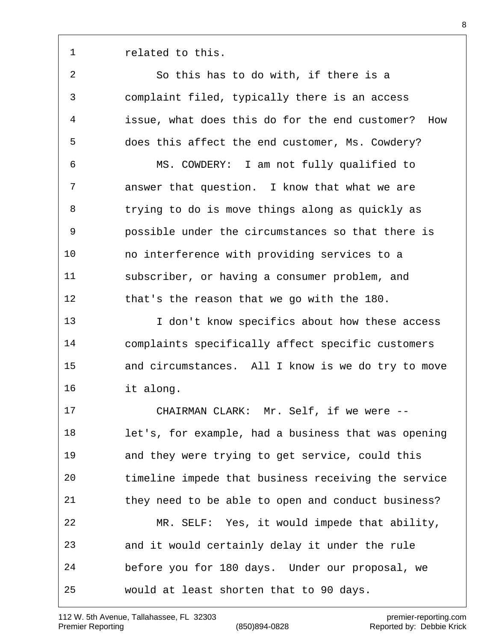1 related to this.

 So this has to do with, if there is a complaint filed, typically there is an access issue, what does this do for the end customer? How does this affect the end customer, Ms. Cowdery? MS. COWDERY: I am not fully qualified to answer that question. I know that what we are trying to do is move things along as quickly as possible under the circumstances so that there is no interference with providing services to a subscriber, or having a consumer problem, and that's the reason that we go with the 180. I don't know specifics about how these access

 complaints specifically affect specific customers and circumstances. All I know is we do try to move it along.

 CHAIRMAN CLARK: Mr. Self, if we were -- let's, for example, had a business that was opening and they were trying to get service, could this timeline impede that business receiving the service they need to be able to open and conduct business? MR. SELF: Yes, it would impede that ability, and it would certainly delay it under the rule before you for 180 days. Under our proposal, we would at least shorten that to 90 days.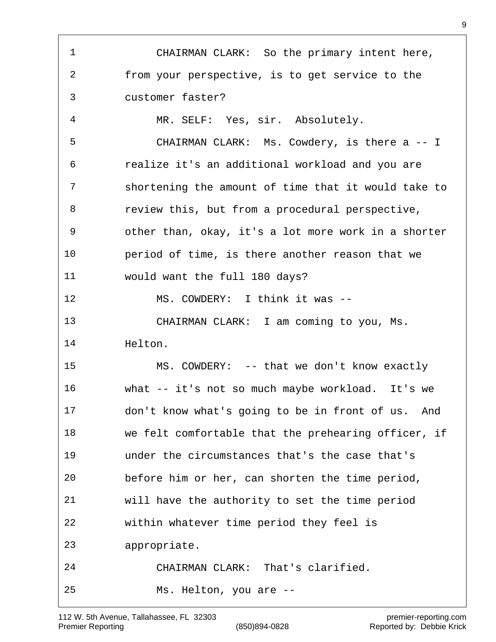CHAIRMAN CLARK: So the primary intent here, from your perspective, is to get service to the customer faster? MR. SELF: Yes, sir. Absolutely. CHAIRMAN CLARK: Ms. Cowdery, is there a -- I realize it's an additional workload and you are shortening the amount of time that it would take to review this, but from a procedural perspective, other than, okay, it's a lot more work in a shorter period of time, is there another reason that we would want the full 180 days? MS. COWDERY: I think it was -- CHAIRMAN CLARK: I am coming to you, Ms. Helton. MS. COWDERY: -- that we don't know exactly what -- it's not so much maybe workload. It's we don't know what's going to be in front of us. And we felt comfortable that the prehearing officer, if under the circumstances that's the case that's before him or her, can shorten the time period, will have the authority to set the time period within whatever time period they feel is appropriate. CHAIRMAN CLARK: That's clarified. Ms. Helton, you are --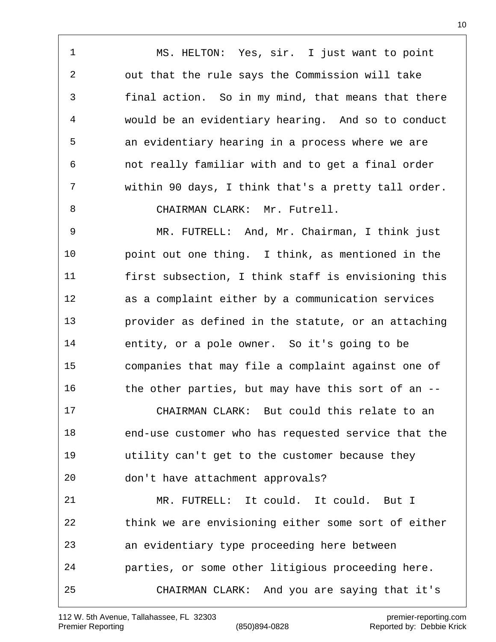MS. HELTON: Yes, sir. I just want to point out that the rule says the Commission will take final action. So in my mind, that means that there would be an evidentiary hearing. And so to conduct an evidentiary hearing in a process where we are not really familiar with and to get a final order within 90 days, I think that's a pretty tall order. 8 CHAIRMAN CLARK: Mr. Futrell.

 MR. FUTRELL: And, Mr. Chairman, I think just point out one thing. I think, as mentioned in the first subsection, I think staff is envisioning this as a complaint either by a communication services provider as defined in the statute, or an attaching entity, or a pole owner. So it's going to be companies that may file a complaint against one of 16 the other parties, but may have this sort of an --

 CHAIRMAN CLARK: But could this relate to an end-use customer who has requested service that the utility can't get to the customer because they don't have attachment approvals?

 MR. FUTRELL: It could. It could. But I think we are envisioning either some sort of either an evidentiary type proceeding here between parties, or some other litigious proceeding here. CHAIRMAN CLARK: And you are saying that it's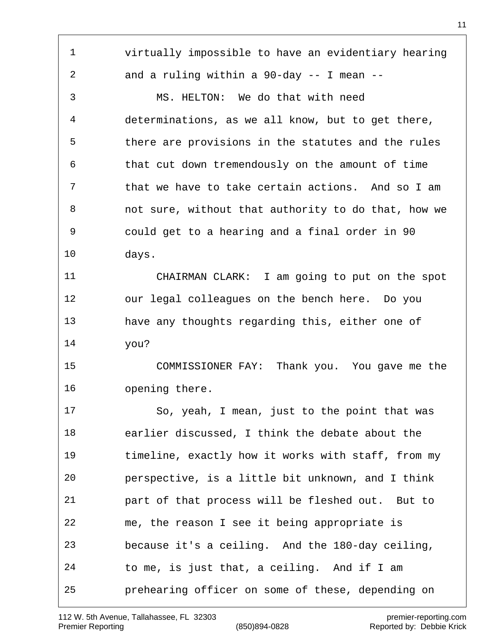virtually impossible to have an evidentiary hearing and a ruling within a 90-day -- I mean -- MS. HELTON: We do that with need determinations, as we all know, but to get there, there are provisions in the statutes and the rules that cut down tremendously on the amount of time that we have to take certain actions. And so I am not sure, without that authority to do that, how we could get to a hearing and a final order in 90 days. CHAIRMAN CLARK: I am going to put on the spot our legal colleagues on the bench here. Do you have any thoughts regarding this, either one of you? COMMISSIONER FAY: Thank you. You gave me the opening there. So, yeah, I mean, just to the point that was earlier discussed, I think the debate about the timeline, exactly how it works with staff, from my perspective, is a little bit unknown, and I think part of that process will be fleshed out. But to me, the reason I see it being appropriate is because it's a ceiling. And the 180-day ceiling, to me, is just that, a ceiling. And if I am prehearing officer on some of these, depending on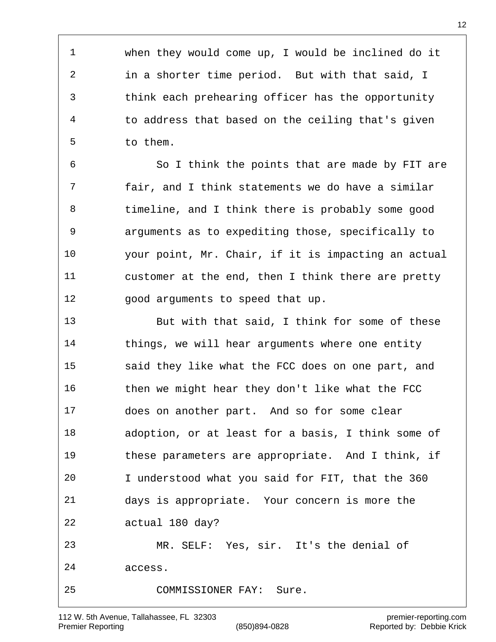when they would come up, I would be inclined do it in a shorter time period. But with that said, I think each prehearing officer has the opportunity to address that based on the ceiling that's given to them.

 So I think the points that are made by FIT are fair, and I think statements we do have a similar timeline, and I think there is probably some good arguments as to expediting those, specifically to your point, Mr. Chair, if it is impacting an actual customer at the end, then I think there are pretty good arguments to speed that up.

 But with that said, I think for some of these things, we will hear arguments where one entity said they like what the FCC does on one part, and then we might hear they don't like what the FCC does on another part. And so for some clear adoption, or at least for a basis, I think some of these parameters are appropriate. And I think, if I understood what you said for FIT, that the 360 days is appropriate. Your concern is more the actual 180 day? MR. SELF: Yes, sir. It's the denial of access. COMMISSIONER FAY: Sure.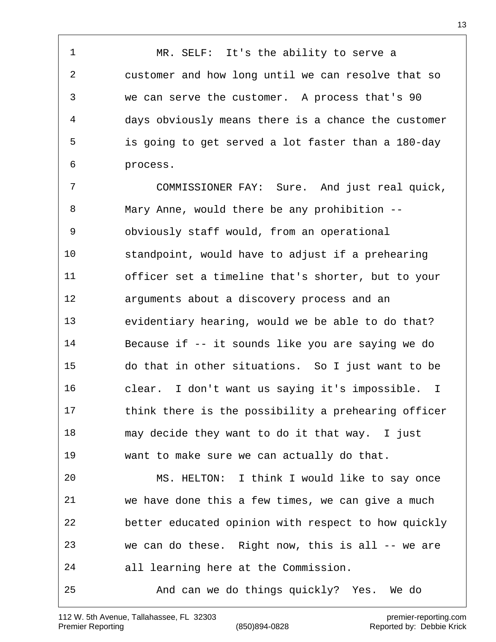MR. SELF: It's the ability to serve a customer and how long until we can resolve that so we can serve the customer. A process that's 90 days obviously means there is a chance the customer is going to get served a lot faster than a 180-day process.

 COMMISSIONER FAY: Sure. And just real quick, Mary Anne, would there be any prohibition -- obviously staff would, from an operational standpoint, would have to adjust if a prehearing officer set a timeline that's shorter, but to your arguments about a discovery process and an evidentiary hearing, would we be able to do that? Because if -- it sounds like you are saying we do do that in other situations. So I just want to be clear. I don't want us saying it's impossible. I 17 think there is the possibility a prehearing officer may decide they want to do it that way. I just want to make sure we can actually do that.

 MS. HELTON: I think I would like to say once we have done this a few times, we can give a much better educated opinion with respect to how quickly we can do these. Right now, this is all -- we are all learning here at the Commission. And can we do things quickly? Yes. We do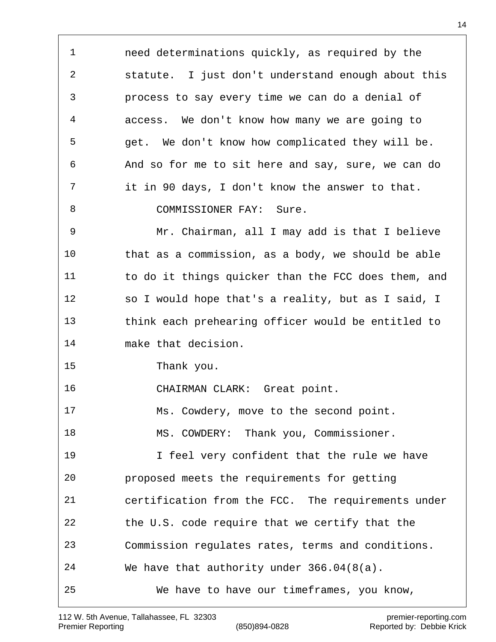need determinations quickly, as required by the statute. I just don't understand enough about this process to say every time we can do a denial of access. We don't know how many we are going to get. We don't know how complicated they will be. And so for me to sit here and say, sure, we can do it in 90 days, I don't know the answer to that. 8 COMMISSIONER FAY: Sure. Mr. Chairman, all I may add is that I believe that as a commission, as a body, we should be able to do it things quicker than the FCC does them, and so I would hope that's a reality, but as I said, I think each prehearing officer would be entitled to make that decision. Thank you. CHAIRMAN CLARK: Great point. Ms. Cowdery, move to the second point. MS. COWDERY: Thank you, Commissioner. I feel very confident that the rule we have proposed meets the requirements for getting certification from the FCC. The requirements under the U.S. code require that we certify that the Commission regulates rates, terms and conditions. We have that authority under 366.04(8(a). We have to have our timeframes, you know,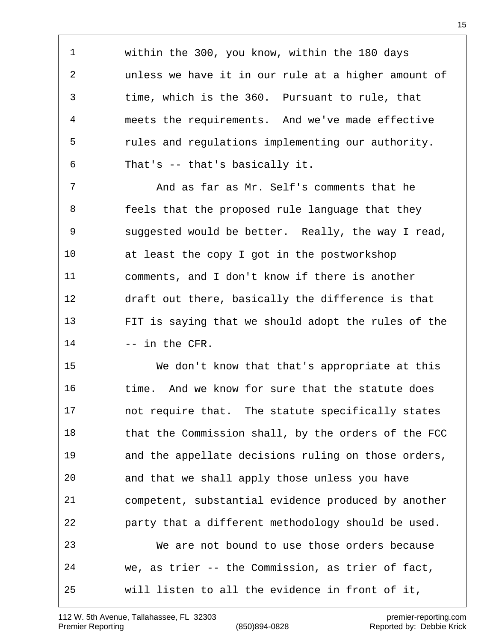within the 300, you know, within the 180 days unless we have it in our rule at a higher amount of time, which is the 360. Pursuant to rule, that meets the requirements. And we've made effective rules and regulations implementing our authority. That's -- that's basically it.

 And as far as Mr. Self's comments that he feels that the proposed rule language that they suggested would be better. Really, the way I read, at least the copy I got in the postworkshop comments, and I don't know if there is another draft out there, basically the difference is that FIT is saying that we should adopt the rules of the 14 -- in the CFR.

 We don't know that that's appropriate at this time. And we know for sure that the statute does not require that. The statute specifically states that the Commission shall, by the orders of the FCC and the appellate decisions ruling on those orders, and that we shall apply those unless you have competent, substantial evidence produced by another party that a different methodology should be used. We are not bound to use those orders because we, as trier -- the Commission, as trier of fact, will listen to all the evidence in front of it,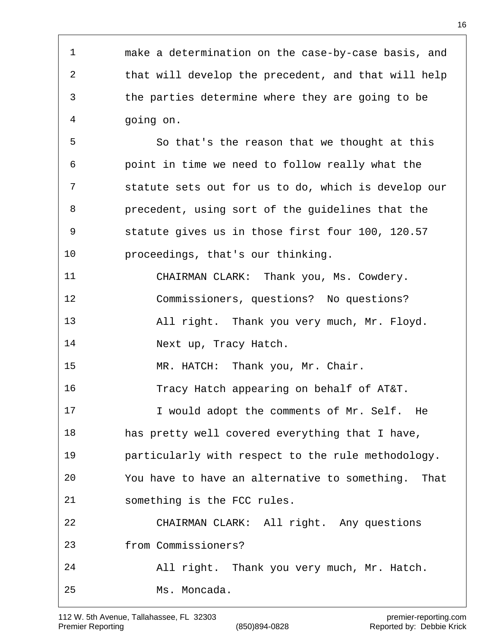make a determination on the case-by-case basis, and that will develop the precedent, and that will help the parties determine where they are going to be going on. So that's the reason that we thought at this point in time we need to follow really what the statute sets out for us to do, which is develop our precedent, using sort of the guidelines that the statute gives us in those first four 100, 120.57 proceedings, that's our thinking. CHAIRMAN CLARK: Thank you, Ms. Cowdery. Commissioners, questions? No questions? All right. Thank you very much, Mr. Floyd. 14 Next up, Tracy Hatch. MR. HATCH: Thank you, Mr. Chair. Tracy Hatch appearing on behalf of AT&T. 17 T would adopt the comments of Mr. Self. He has pretty well covered everything that I have, particularly with respect to the rule methodology. You have to have an alternative to something. That something is the FCC rules. CHAIRMAN CLARK: All right. Any questions from Commissioners? All right. Thank you very much, Mr. Hatch. Ms. Moncada.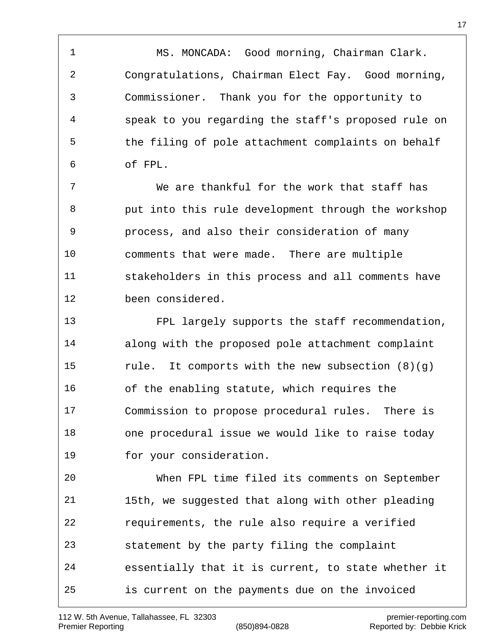1 MS. MONCADA: Good morning, Chairman Clark. Congratulations, Chairman Elect Fay. Good morning, Commissioner. Thank you for the opportunity to speak to you regarding the staff's proposed rule on the filing of pole attachment complaints on behalf of FPL.

 We are thankful for the work that staff has put into this rule development through the workshop process, and also their consideration of many comments that were made. There are multiple stakeholders in this process and all comments have been considered.

 FPL largely supports the staff recommendation, along with the proposed pole attachment complaint rule. It comports with the new subsection (8)(g) of the enabling statute, which requires the Commission to propose procedural rules. There is one procedural issue we would like to raise today for your consideration.

 When FPL time filed its comments on September 15th, we suggested that along with other pleading requirements, the rule also require a verified statement by the party filing the complaint essentially that it is current, to state whether it is current on the payments due on the invoiced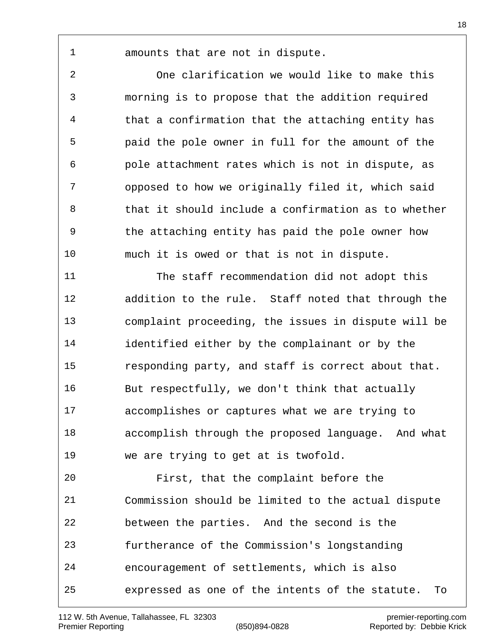amounts that are not in dispute.

 One clarification we would like to make this morning is to propose that the addition required that a confirmation that the attaching entity has paid the pole owner in full for the amount of the pole attachment rates which is not in dispute, as opposed to how we originally filed it, which said that it should include a confirmation as to whether the attaching entity has paid the pole owner how much it is owed or that is not in dispute.

 The staff recommendation did not adopt this addition to the rule. Staff noted that through the complaint proceeding, the issues in dispute will be identified either by the complainant or by the responding party, and staff is correct about that. But respectfully, we don't think that actually accomplishes or captures what we are trying to accomplish through the proposed language. And what we are trying to get at is twofold.

 First, that the complaint before the Commission should be limited to the actual dispute between the parties. And the second is the furtherance of the Commission's longstanding encouragement of settlements, which is also expressed as one of the intents of the statute. To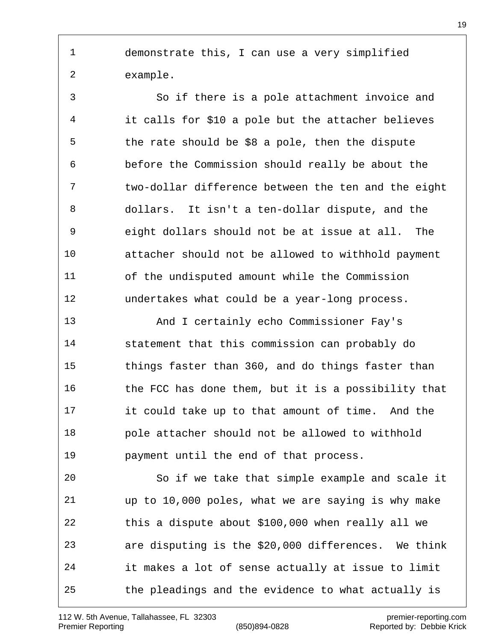demonstrate this, I can use a very simplified example.

 So if there is a pole attachment invoice and it calls for \$10 a pole but the attacher believes the rate should be \$8 a pole, then the dispute before the Commission should really be about the two-dollar difference between the ten and the eight dollars. It isn't a ten-dollar dispute, and the eight dollars should not be at issue at all. The attacher should not be allowed to withhold payment of the undisputed amount while the Commission undertakes what could be a year-long process.

 And I certainly echo Commissioner Fay's statement that this commission can probably do things faster than 360, and do things faster than 16 the FCC has done them, but it is a possibility that it could take up to that amount of time. And the pole attacher should not be allowed to withhold payment until the end of that process.

 So if we take that simple example and scale it up to 10,000 poles, what we are saying is why make this a dispute about \$100,000 when really all we are disputing is the \$20,000 differences. We think it makes a lot of sense actually at issue to limit the pleadings and the evidence to what actually is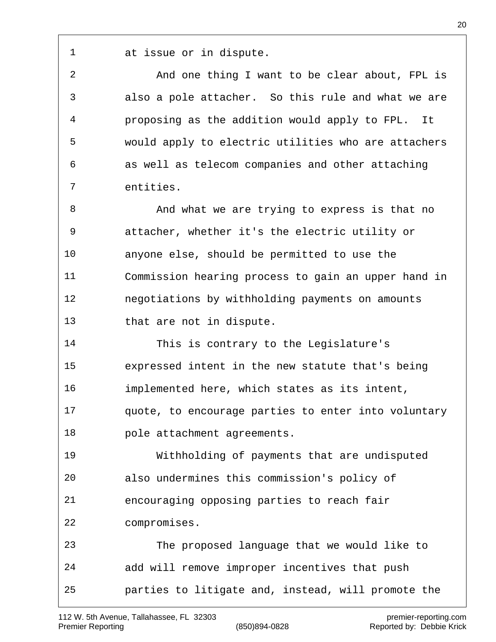112 W. 5th Avenue, Tallahassee, FL 32303 premier-reporting.com Premier Reporting (850)894-0828 Reported by: Debbie Krick

at issue or in dispute.

 And one thing I want to be clear about, FPL is also a pole attacher. So this rule and what we are proposing as the addition would apply to FPL. It would apply to electric utilities who are attachers as well as telecom companies and other attaching entities.

8 And what we are trying to express is that no attacher, whether it's the electric utility or anyone else, should be permitted to use the Commission hearing process to gain an upper hand in negotiations by withholding payments on amounts that are not in dispute.

 This is contrary to the Legislature's expressed intent in the new statute that's being implemented here, which states as its intent, quote, to encourage parties to enter into voluntary pole attachment agreements.

 Withholding of payments that are undisputed also undermines this commission's policy of encouraging opposing parties to reach fair compromises.

 The proposed language that we would like to add will remove improper incentives that push parties to litigate and, instead, will promote the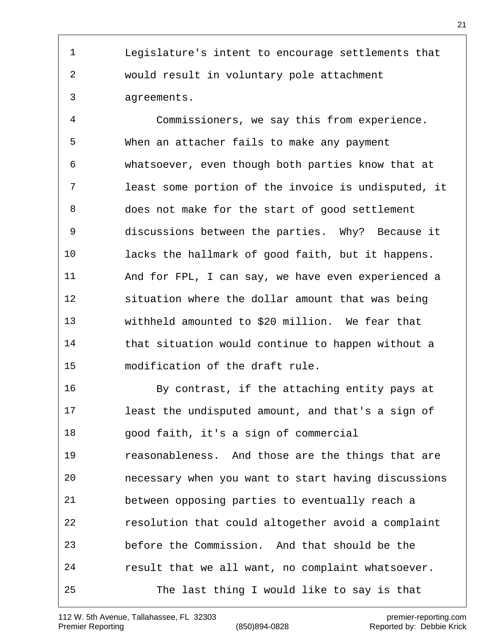Legislature's intent to encourage settlements that would result in voluntary pole attachment agreements.

 Commissioners, we say this from experience. When an attacher fails to make any payment whatsoever, even though both parties know that at least some portion of the invoice is undisputed, it does not make for the start of good settlement discussions between the parties. Why? Because it lacks the hallmark of good faith, but it happens. And for FPL, I can say, we have even experienced a situation where the dollar amount that was being withheld amounted to \$20 million. We fear that that situation would continue to happen without a modification of the draft rule.

 By contrast, if the attaching entity pays at least the undisputed amount, and that's a sign of good faith, it's a sign of commercial reasonableness. And those are the things that are necessary when you want to start having discussions between opposing parties to eventually reach a resolution that could altogether avoid a complaint before the Commission. And that should be the result that we all want, no complaint whatsoever. The last thing I would like to say is that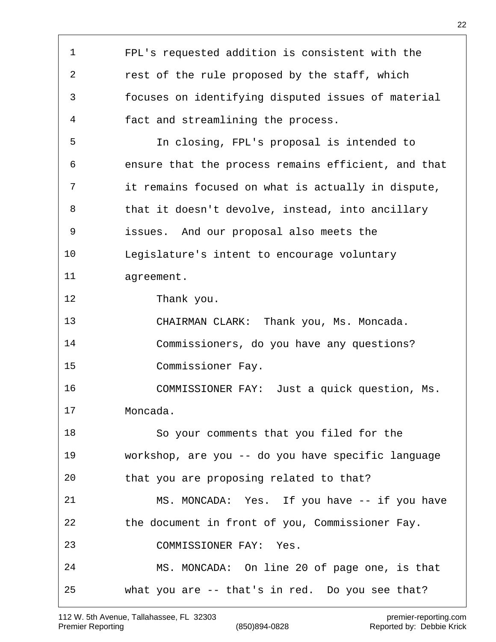FPL's requested addition is consistent with the rest of the rule proposed by the staff, which focuses on identifying disputed issues of material fact and streamlining the process. In closing, FPL's proposal is intended to ensure that the process remains efficient, and that it remains focused on what is actually in dispute, that it doesn't devolve, instead, into ancillary issues. And our proposal also meets the Legislature's intent to encourage voluntary agreement. Thank you. CHAIRMAN CLARK: Thank you, Ms. Moncada. Commissioners, do you have any questions? Commissioner Fay. COMMISSIONER FAY: Just a quick question, Ms. Moncada. So your comments that you filed for the workshop, are you -- do you have specific language that you are proposing related to that? MS. MONCADA: Yes. If you have -- if you have the document in front of you, Commissioner Fay. COMMISSIONER FAY: Yes. MS. MONCADA: On line 20 of page one, is that what you are -- that's in red. Do you see that?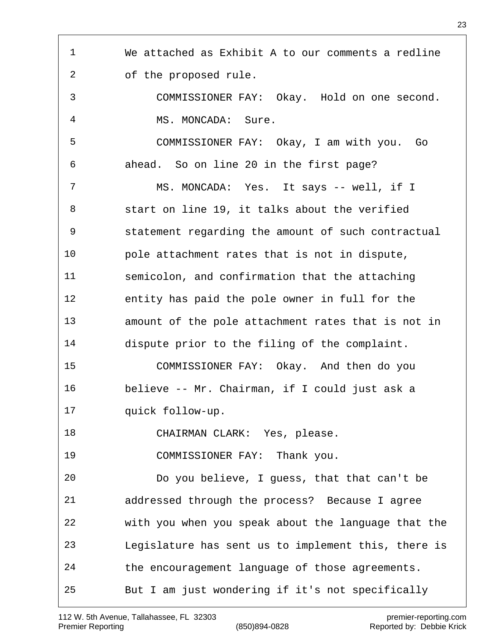We attached as Exhibit A to our comments a redline of the proposed rule. COMMISSIONER FAY: Okay. Hold on one second. MS. MONCADA: Sure. COMMISSIONER FAY: Okay, I am with you. Go ahead. So on line 20 in the first page? MS. MONCADA: Yes. It says -- well, if I start on line 19, it talks about the verified statement regarding the amount of such contractual pole attachment rates that is not in dispute, semicolon, and confirmation that the attaching entity has paid the pole owner in full for the amount of the pole attachment rates that is not in dispute prior to the filing of the complaint. COMMISSIONER FAY: Okay. And then do you believe -- Mr. Chairman, if I could just ask a quick follow-up. CHAIRMAN CLARK: Yes, please. COMMISSIONER FAY: Thank you. Do you believe, I guess, that that can't be addressed through the process? Because I agree with you when you speak about the language that the Legislature has sent us to implement this, there is the encouragement language of those agreements. But I am just wondering if it's not specifically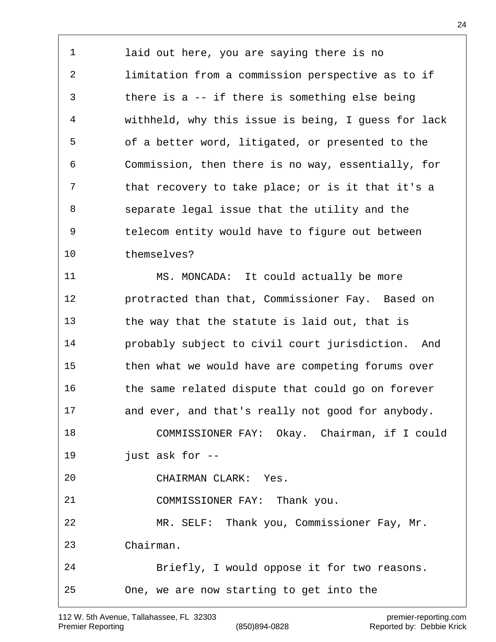laid out here, you are saying there is no limitation from a commission perspective as to if there is a -- if there is something else being withheld, why this issue is being, I guess for lack of a better word, litigated, or presented to the Commission, then there is no way, essentially, for that recovery to take place; or is it that it's a separate legal issue that the utility and the telecom entity would have to figure out between themselves?

 MS. MONCADA: It could actually be more protracted than that, Commissioner Fay. Based on the way that the statute is laid out, that is probably subject to civil court jurisdiction. And then what we would have are competing forums over the same related dispute that could go on forever and ever, and that's really not good for anybody. COMMISSIONER FAY: Okay. Chairman, if I could just ask for -- CHAIRMAN CLARK: Yes. COMMISSIONER FAY: Thank you. MR. SELF: Thank you, Commissioner Fay, Mr. Chairman. Briefly, I would oppose it for two reasons. One, we are now starting to get into the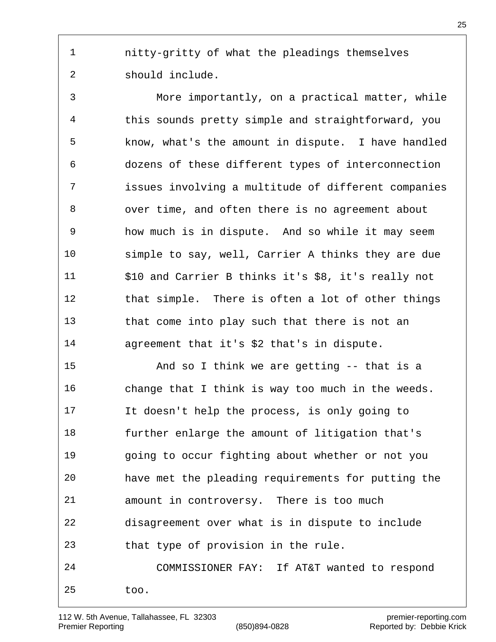nitty-gritty of what the pleadings themselves should include.

 More importantly, on a practical matter, while this sounds pretty simple and straightforward, you know, what's the amount in dispute. I have handled dozens of these different types of interconnection issues involving a multitude of different companies over time, and often there is no agreement about how much is in dispute. And so while it may seem simple to say, well, Carrier A thinks they are due \$10 and Carrier B thinks it's \$8, it's really not that simple. There is often a lot of other things that come into play such that there is not an agreement that it's \$2 that's in dispute.

 And so I think we are getting -- that is a change that I think is way too much in the weeds. It doesn't help the process, is only going to further enlarge the amount of litigation that's going to occur fighting about whether or not you have met the pleading requirements for putting the amount in controversy. There is too much disagreement over what is in dispute to include that type of provision in the rule. COMMISSIONER FAY: If AT&T wanted to respond too.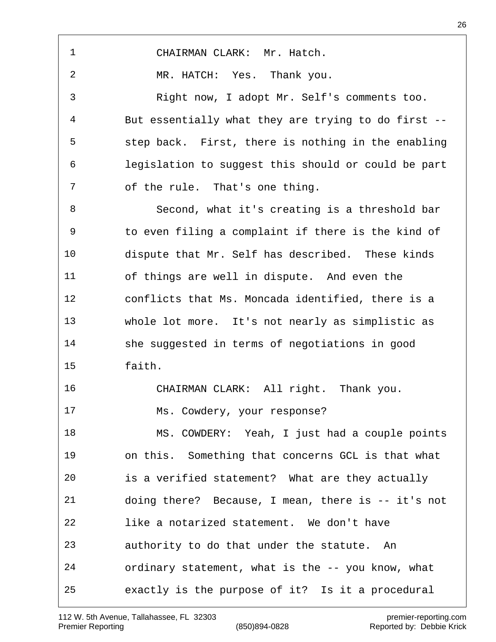| 1              | CHAIRMAN CLARK: Mr. Hatch.                          |
|----------------|-----------------------------------------------------|
| $\overline{2}$ | MR. HATCH: Yes. Thank you.                          |
| 3              | Right now, I adopt Mr. Self's comments too.         |
| $\overline{4}$ | But essentially what they are trying to do first -- |
| 5              | step back. First, there is nothing in the enabling  |
| 6              | legislation to suggest this should or could be part |
| 7              | of the rule. That's one thing.                      |
| 8              | Second, what it's creating is a threshold bar       |
| 9              | to even filing a complaint if there is the kind of  |
| 10             | dispute that Mr. Self has described. These kinds    |
| 11             | of things are well in dispute. And even the         |
| 12             | conflicts that Ms. Moncada identified, there is a   |
| 13             | whole lot more. It's not nearly as simplistic as    |
| 14             | she suggested in terms of negotiations in good      |
| 15             | faith.                                              |
| 16             | CHAIRMAN CLARK: All right. Thank you.               |
| 17             | Ms. Cowdery, your response?                         |
| 18             | MS. COWDERY: Yeah, I just had a couple points       |
| 19             | on this. Something that concerns GCL is that what   |
| 20             | is a verified statement? What are they actually     |
| 21             | doing there? Because, I mean, there is -- it's not  |
| 22             | like a notarized statement. We don't have           |
| 23             | authority to do that under the statute. An          |
| 24             | ordinary statement, what is the -- you know, what   |
| 25             | exactly is the purpose of it? Is it a procedural    |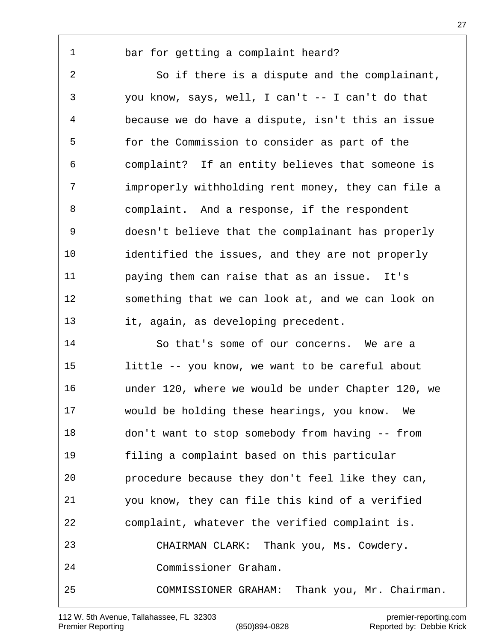## bar for getting a complaint heard?

 So if there is a dispute and the complainant, you know, says, well, I can't -- I can't do that because we do have a dispute, isn't this an issue for the Commission to consider as part of the complaint? If an entity believes that someone is improperly withholding rent money, they can file a complaint. And a response, if the respondent doesn't believe that the complainant has properly identified the issues, and they are not properly paying them can raise that as an issue. It's something that we can look at, and we can look on it, again, as developing precedent.

 So that's some of our concerns. We are a little -- you know, we want to be careful about under 120, where we would be under Chapter 120, we would be holding these hearings, you know. We don't want to stop somebody from having -- from filing a complaint based on this particular procedure because they don't feel like they can, you know, they can file this kind of a verified complaint, whatever the verified complaint is. CHAIRMAN CLARK: Thank you, Ms. Cowdery. Commissioner Graham. COMMISSIONER GRAHAM: Thank you, Mr. Chairman.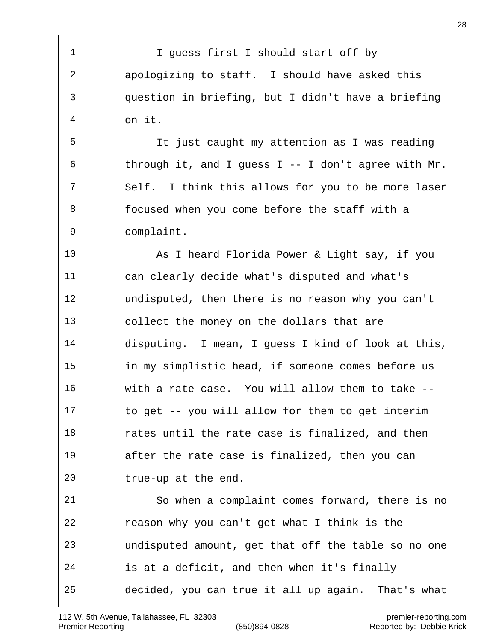1 I guess first I should start off by apologizing to staff. I should have asked this question in briefing, but I didn't have a briefing on it. It just caught my attention as I was reading 6 through it, and I guess I -- I don't agree with  $Mr.$  Self. I think this allows for you to be more laser focused when you come before the staff with a complaint. As I heard Florida Power & Light say, if you can clearly decide what's disputed and what's undisputed, then there is no reason why you can't collect the money on the dollars that are disputing. I mean, I guess I kind of look at this, in my simplistic head, if someone comes before us with a rate case. You will allow them to take -- to get -- you will allow for them to get interim **18** rates until the rate case is finalized, and then after the rate case is finalized, then you can true-up at the end. So when a complaint comes forward, there is no reason why you can't get what I think is the undisputed amount, get that off the table so no one is at a deficit, and then when it's finally decided, you can true it all up again. That's what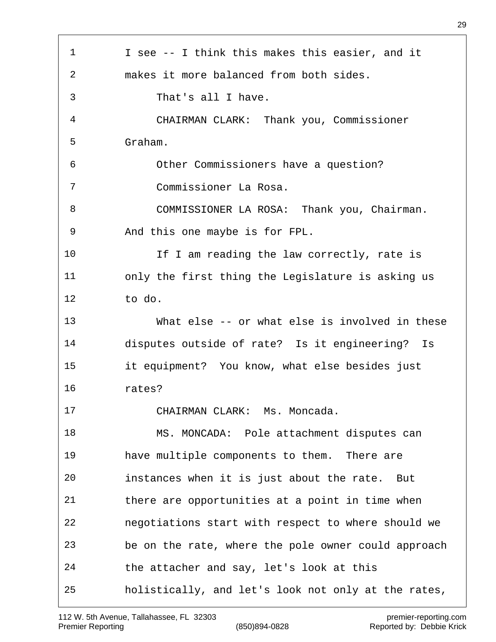| $\mathbf 1$ | I see -- I think this makes this easier, and it     |
|-------------|-----------------------------------------------------|
| 2           | makes it more balanced from both sides.             |
| 3           | That's all I have.                                  |
| 4           | CHAIRMAN CLARK: Thank you, Commissioner             |
| 5           | Graham.                                             |
| 6           | Other Commissioners have a question?                |
| 7           | Commissioner La Rosa.                               |
| 8           | COMMISSIONER LA ROSA: Thank you, Chairman.          |
| 9           | And this one maybe is for FPL.                      |
| 10          | If I am reading the law correctly, rate is          |
| 11          | only the first thing the Legislature is asking us   |
| 12          | to do.                                              |
| 13          | What else -- or what else is involved in these      |
| 14          | disputes outside of rate? Is it engineering? Is     |
| 15          | it equipment? You know, what else besides just      |
| 16          | rates?                                              |
| 17          | CHAIRMAN CLARK: Ms. Moncada.                        |
| 18          | MS. MONCADA: Pole attachment disputes can           |
| 19          | have multiple components to them. There are         |
| 20          | instances when it is just about the rate. But       |
| 21          | there are opportunities at a point in time when     |
| 22          | negotiations start with respect to where should we  |
| 23          | be on the rate, where the pole owner could approach |
| 24          | the attacher and say, let's look at this            |
| 25          | holistically, and let's look not only at the rates, |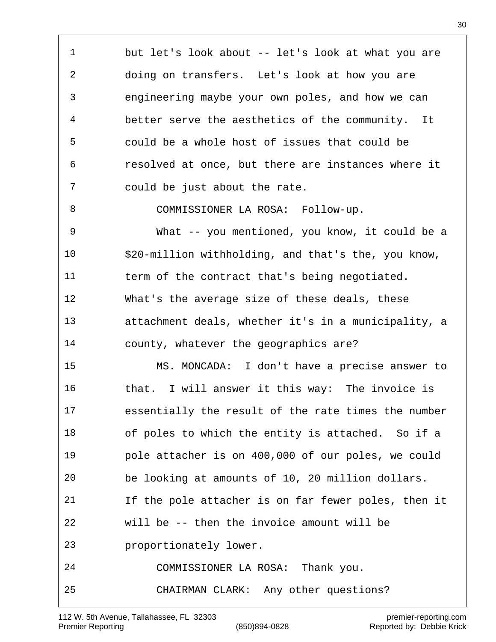but let's look about -- let's look at what you are doing on transfers. Let's look at how you are engineering maybe your own poles, and how we can better serve the aesthetics of the community. It could be a whole host of issues that could be resolved at once, but there are instances where it could be just about the rate.

8 COMMISSIONER LA ROSA: Follow-up.

 What -- you mentioned, you know, it could be a \$20-million withholding, and that's the, you know, term of the contract that's being negotiated. What's the average size of these deals, these attachment deals, whether it's in a municipality, a county, whatever the geographics are?

 MS. MONCADA: I don't have a precise answer to that. I will answer it this way: The invoice is essentially the result of the rate times the number of poles to which the entity is attached. So if a pole attacher is on 400,000 of our poles, we could be looking at amounts of 10, 20 million dollars. If the pole attacher is on far fewer poles, then it will be -- then the invoice amount will be proportionately lower. COMMISSIONER LA ROSA: Thank you. CHAIRMAN CLARK: Any other questions?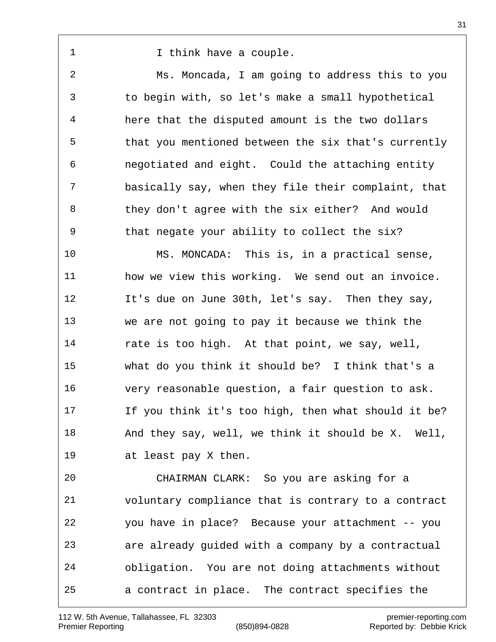1 1 I think have a couple.

 Ms. Moncada, I am going to address this to you to begin with, so let's make a small hypothetical here that the disputed amount is the two dollars that you mentioned between the six that's currently negotiated and eight. Could the attaching entity basically say, when they file their complaint, that they don't agree with the six either? And would that negate your ability to collect the six?

 MS. MONCADA: This is, in a practical sense, how we view this working. We send out an invoice. It's due on June 30th, let's say. Then they say, we are not going to pay it because we think the rate is too high. At that point, we say, well, what do you think it should be? I think that's a very reasonable question, a fair question to ask. If you think it's too high, then what should it be? 18 And they say, well, we think it should be X. Well, at least pay X then.

 CHAIRMAN CLARK: So you are asking for a voluntary compliance that is contrary to a contract you have in place? Because your attachment -- you are already guided with a company by a contractual obligation. You are not doing attachments without a contract in place. The contract specifies the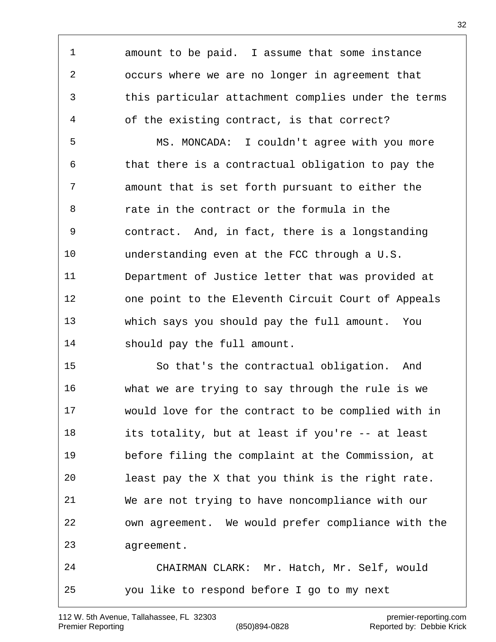amount to be paid. I assume that some instance occurs where we are no longer in agreement that this particular attachment complies under the terms of the existing contract, is that correct?

 MS. MONCADA: I couldn't agree with you more that there is a contractual obligation to pay the amount that is set forth pursuant to either the rate in the contract or the formula in the contract. And, in fact, there is a longstanding understanding even at the FCC through a U.S. Department of Justice letter that was provided at one point to the Eleventh Circuit Court of Appeals which says you should pay the full amount. You should pay the full amount.

 So that's the contractual obligation. And what we are trying to say through the rule is we would love for the contract to be complied with in its totality, but at least if you're -- at least before filing the complaint at the Commission, at least pay the X that you think is the right rate. We are not trying to have noncompliance with our own agreement. We would prefer compliance with the agreement.

 CHAIRMAN CLARK: Mr. Hatch, Mr. Self, would you like to respond before I go to my next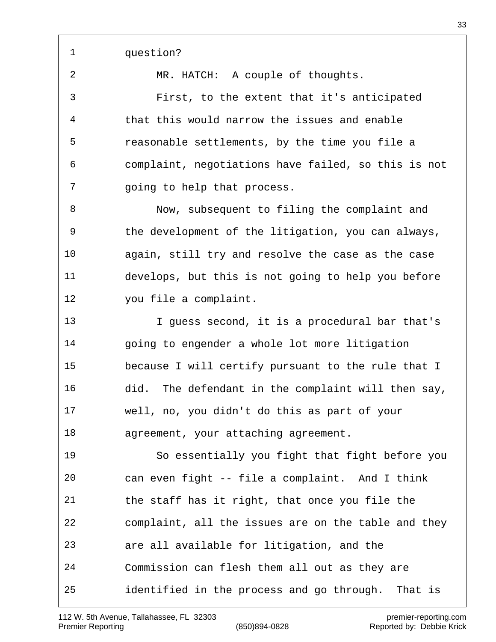question?

MR. HATCH: A couple of thoughts.

 First, to the extent that it's anticipated that this would narrow the issues and enable reasonable settlements, by the time you file a complaint, negotiations have failed, so this is not going to help that process.

 Now, subsequent to filing the complaint and the development of the litigation, you can always, again, still try and resolve the case as the case develops, but this is not going to help you before you file a complaint.

 I guess second, it is a procedural bar that's 14 going to engender a whole lot more litigation because I will certify pursuant to the rule that I did. The defendant in the complaint will then say, well, no, you didn't do this as part of your agreement, your attaching agreement.

 So essentially you fight that fight before you can even fight -- file a complaint. And I think the staff has it right, that once you file the complaint, all the issues are on the table and they are all available for litigation, and the Commission can flesh them all out as they are identified in the process and go through. That is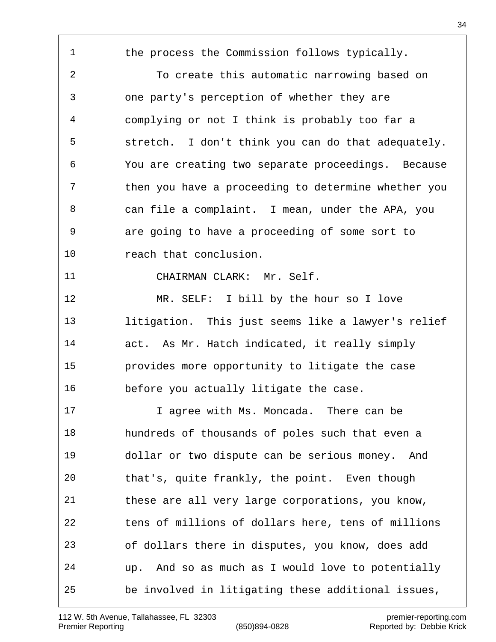1 the process the Commission follows typically. To create this automatic narrowing based on one party's perception of whether they are complying or not I think is probably too far a stretch. I don't think you can do that adequately. You are creating two separate proceedings. Because then you have a proceeding to determine whether you can file a complaint. I mean, under the APA, you are going to have a proceeding of some sort to reach that conclusion. CHAIRMAN CLARK: Mr. Self. MR. SELF: I bill by the hour so I love litigation. This just seems like a lawyer's relief act. As Mr. Hatch indicated, it really simply provides more opportunity to litigate the case before you actually litigate the case. I agree with Ms. Moncada. There can be hundreds of thousands of poles such that even a dollar or two dispute can be serious money. And that's, quite frankly, the point. Even though these are all very large corporations, you know, tens of millions of dollars here, tens of millions of dollars there in disputes, you know, does add up. And so as much as I would love to potentially be involved in litigating these additional issues,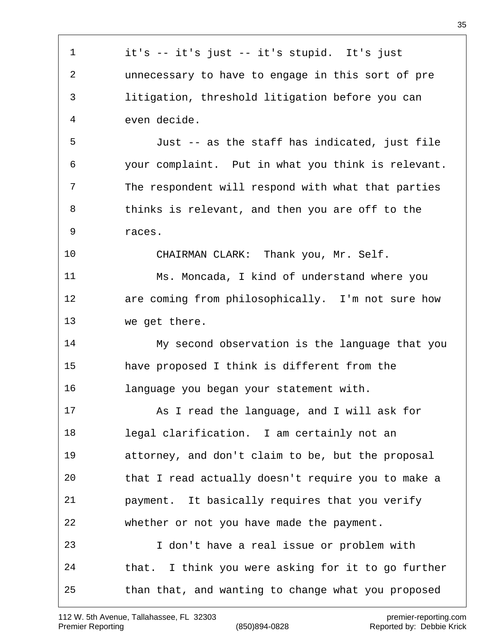it's -- it's just -- it's stupid. It's just unnecessary to have to engage in this sort of pre litigation, threshold litigation before you can even decide. Just -- as the staff has indicated, just file your complaint. Put in what you think is relevant. The respondent will respond with what that parties thinks is relevant, and then you are off to the races. CHAIRMAN CLARK: Thank you, Mr. Self. Ms. Moncada, I kind of understand where you are coming from philosophically. I'm not sure how we get there. My second observation is the language that you have proposed I think is different from the language you began your statement with. As I read the language, and I will ask for legal clarification. I am certainly not an attorney, and don't claim to be, but the proposal that I read actually doesn't require you to make a payment. It basically requires that you verify whether or not you have made the payment. I don't have a real issue or problem with that. I think you were asking for it to go further than that, and wanting to change what you proposed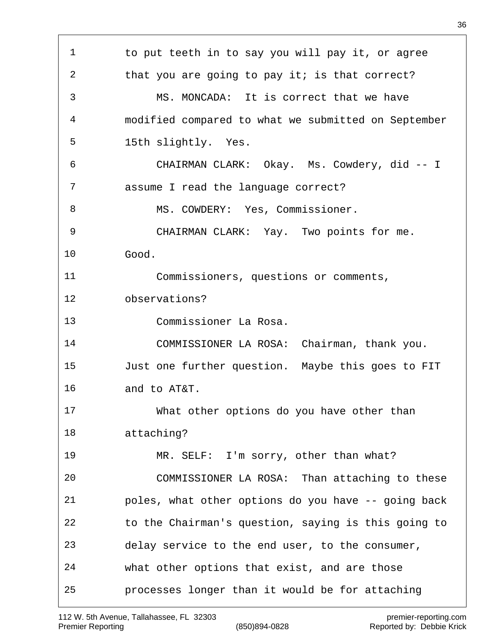1 to put teeth in to say you will pay it, or agree 2 that you are going to pay it; is that correct? MS. MONCADA: It is correct that we have modified compared to what we submitted on September 15th slightly. Yes. CHAIRMAN CLARK: Okay. Ms. Cowdery, did -- I assume I read the language correct? 8 MS. COWDERY: Yes, Commissioner. CHAIRMAN CLARK: Yay. Two points for me. Good. Commissioners, questions or comments, observations? Commissioner La Rosa. COMMISSIONER LA ROSA: Chairman, thank you. Just one further question. Maybe this goes to FIT and to AT&T. What other options do you have other than attaching? MR. SELF: I'm sorry, other than what? COMMISSIONER LA ROSA: Than attaching to these poles, what other options do you have -- going back to the Chairman's question, saying is this going to delay service to the end user, to the consumer, what other options that exist, and are those processes longer than it would be for attaching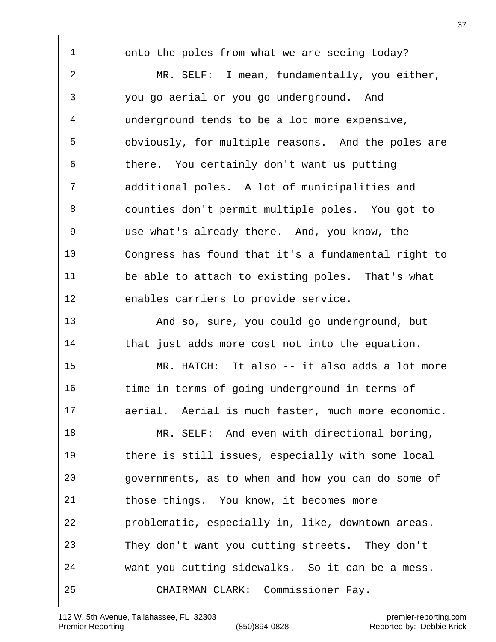onto the poles from what we are seeing today? MR. SELF: I mean, fundamentally, you either, you go aerial or you go underground. And underground tends to be a lot more expensive, obviously, for multiple reasons. And the poles are there. You certainly don't want us putting additional poles. A lot of municipalities and counties don't permit multiple poles. You got to use what's already there. And, you know, the Congress has found that it's a fundamental right to be able to attach to existing poles. That's what enables carriers to provide service. And so, sure, you could go underground, but that just adds more cost not into the equation. MR. HATCH: It also -- it also adds a lot more time in terms of going underground in terms of aerial. Aerial is much faster, much more economic. MR. SELF: And even with directional boring, there is still issues, especially with some local governments, as to when and how you can do some of those things. You know, it becomes more problematic, especially in, like, downtown areas. They don't want you cutting streets. They don't want you cutting sidewalks. So it can be a mess.

CHAIRMAN CLARK: Commissioner Fay.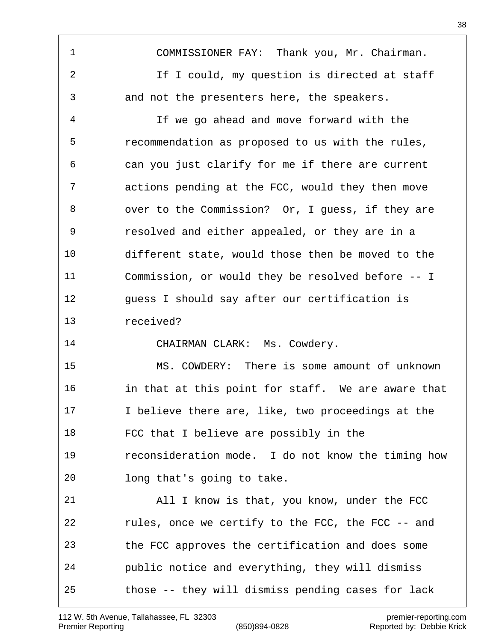COMMISSIONER FAY: Thank you, Mr. Chairman. If I could, my question is directed at staff and not the presenters here, the speakers.

 If we go ahead and move forward with the recommendation as proposed to us with the rules, can you just clarify for me if there are current actions pending at the FCC, would they then move over to the Commission? Or, I guess, if they are resolved and either appealed, or they are in a different state, would those then be moved to the Commission, or would they be resolved before -- I guess I should say after our certification is received?

CHAIRMAN CLARK: Ms. Cowdery.

 MS. COWDERY: There is some amount of unknown in that at this point for staff. We are aware that I believe there are, like, two proceedings at the FCC that I believe are possibly in the reconsideration mode. I do not know the timing how long that's going to take.

 All I know is that, you know, under the FCC rules, once we certify to the FCC, the FCC -- and the FCC approves the certification and does some public notice and everything, they will dismiss those -- they will dismiss pending cases for lack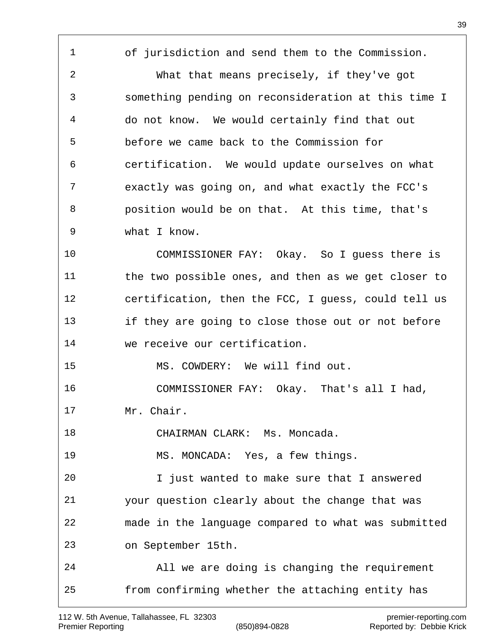of jurisdiction and send them to the Commission. What that means precisely, if they've got something pending on reconsideration at this time I do not know. We would certainly find that out before we came back to the Commission for certification. We would update ourselves on what exactly was going on, and what exactly the FCC's position would be on that. At this time, that's what I know. COMMISSIONER FAY: Okay. So I guess there is the two possible ones, and then as we get closer to certification, then the FCC, I guess, could tell us if they are going to close those out or not before we receive our certification. MS. COWDERY: We will find out. COMMISSIONER FAY: Okay. That's all I had, Mr. Chair. CHAIRMAN CLARK: Ms. Moncada. MS. MONCADA: Yes, a few things. I just wanted to make sure that I answered your question clearly about the change that was made in the language compared to what was submitted on September 15th. All we are doing is changing the requirement from confirming whether the attaching entity has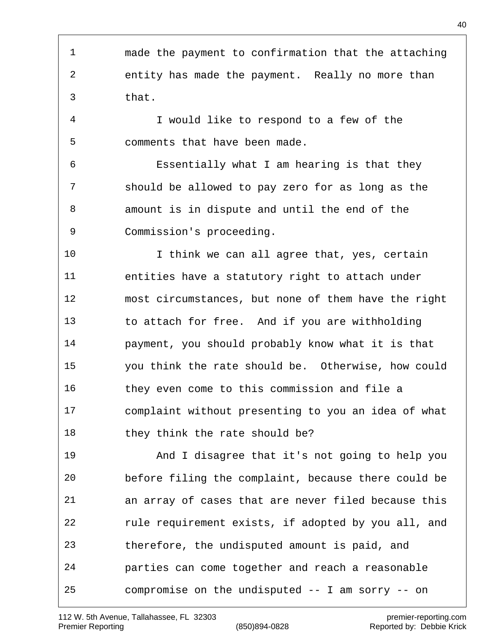made the payment to confirmation that the attaching entity has made the payment. Really no more than that. I would like to respond to a few of the comments that have been made. Essentially what I am hearing is that they should be allowed to pay zero for as long as the amount is in dispute and until the end of the Commission's proceeding. I think we can all agree that, yes, certain entities have a statutory right to attach under most circumstances, but none of them have the right to attach for free. And if you are withholding payment, you should probably know what it is that you think the rate should be. Otherwise, how could they even come to this commission and file a complaint without presenting to you an idea of what 18 they think the rate should be? And I disagree that it's not going to help you before filing the complaint, because there could be an array of cases that are never filed because this rule requirement exists, if adopted by you all, and therefore, the undisputed amount is paid, and parties can come together and reach a reasonable compromise on the undisputed -- I am sorry -- on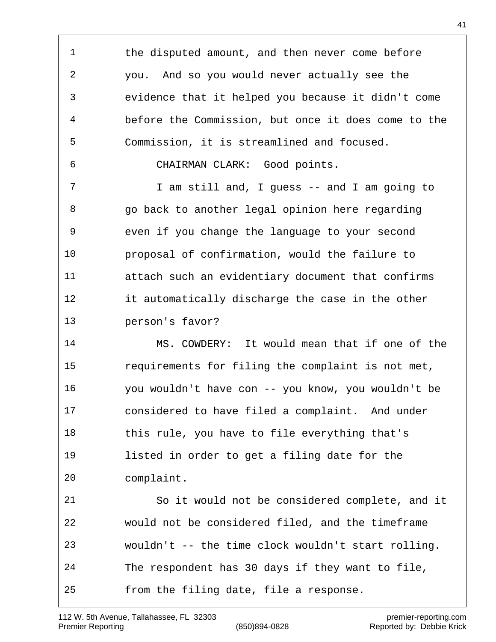1 the disputed amount, and then never come before you. And so you would never actually see the evidence that it helped you because it didn't come before the Commission, but once it does come to the Commission, it is streamlined and focused.

CHAIRMAN CLARK: Good points.

 I am still and, I guess -- and I am going to go back to another legal opinion here regarding even if you change the language to your second proposal of confirmation, would the failure to attach such an evidentiary document that confirms it automatically discharge the case in the other person's favor?

 MS. COWDERY: It would mean that if one of the requirements for filing the complaint is not met, you wouldn't have con -- you know, you wouldn't be considered to have filed a complaint. And under this rule, you have to file everything that's listed in order to get a filing date for the complaint.

 So it would not be considered complete, and it would not be considered filed, and the timeframe wouldn't -- the time clock wouldn't start rolling. The respondent has 30 days if they want to file, from the filing date, file a response.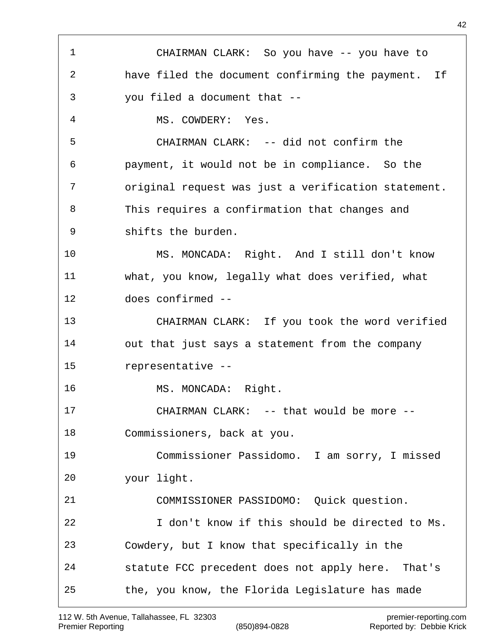CHAIRMAN CLARK: So you have -- you have to have filed the document confirming the payment. If you filed a document that -- MS. COWDERY: Yes. CHAIRMAN CLARK: -- did not confirm the payment, it would not be in compliance. So the original request was just a verification statement. This requires a confirmation that changes and shifts the burden. MS. MONCADA: Right. And I still don't know what, you know, legally what does verified, what does confirmed -- CHAIRMAN CLARK: If you took the word verified out that just says a statement from the company representative -- 16 MS. MONCADA: Right. CHAIRMAN CLARK: -- that would be more -- Commissioners, back at you. Commissioner Passidomo. I am sorry, I missed your light. COMMISSIONER PASSIDOMO: Quick question. I don't know if this should be directed to Ms. Cowdery, but I know that specifically in the statute FCC precedent does not apply here. That's the, you know, the Florida Legislature has made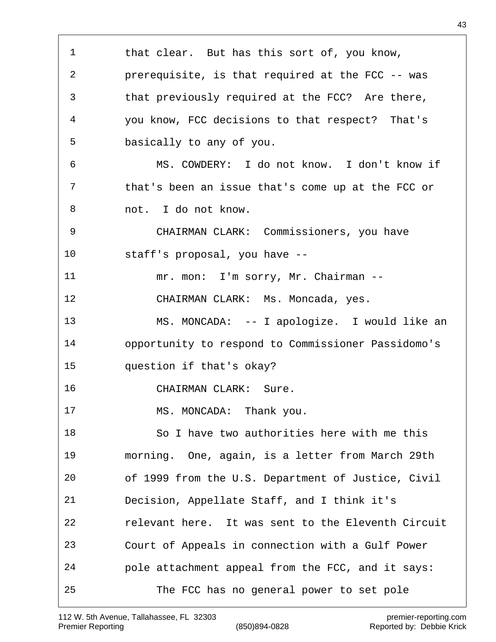1 that clear. But has this sort of, you know, prerequisite, is that required at the FCC -- was that previously required at the FCC? Are there, you know, FCC decisions to that respect? That's basically to any of you. MS. COWDERY: I do not know. I don't know if that's been an issue that's come up at the FCC or not. I do not know. CHAIRMAN CLARK: Commissioners, you have staff's proposal, you have -- 11 mr. mon: I'm sorry, Mr. Chairman -- CHAIRMAN CLARK: Ms. Moncada, yes. MS. MONCADA: -- I apologize. I would like an opportunity to respond to Commissioner Passidomo's question if that's okay? CHAIRMAN CLARK: Sure. 17 MS. MONCADA: Thank you. So I have two authorities here with me this morning. One, again, is a letter from March 29th of 1999 from the U.S. Department of Justice, Civil Decision, Appellate Staff, and I think it's relevant here. It was sent to the Eleventh Circuit Court of Appeals in connection with a Gulf Power pole attachment appeal from the FCC, and it says: The FCC has no general power to set pole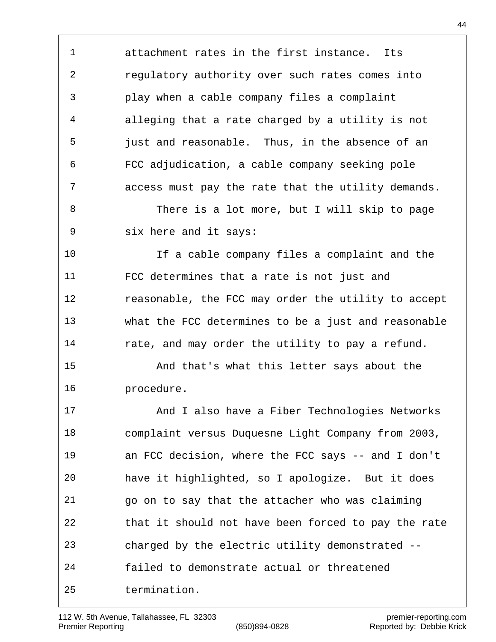attachment rates in the first instance. Its regulatory authority over such rates comes into play when a cable company files a complaint alleging that a rate charged by a utility is not just and reasonable. Thus, in the absence of an FCC adjudication, a cable company seeking pole access must pay the rate that the utility demands.

8 There is a lot more, but I will skip to page six here and it says:

 If a cable company files a complaint and the FCC determines that a rate is not just and reasonable, the FCC may order the utility to accept what the FCC determines to be a just and reasonable rate, and may order the utility to pay a refund.

 And that's what this letter says about the procedure.

 And I also have a Fiber Technologies Networks complaint versus Duquesne Light Company from 2003, an FCC decision, where the FCC says -- and I don't have it highlighted, so I apologize. But it does go on to say that the attacher who was claiming that it should not have been forced to pay the rate charged by the electric utility demonstrated -- failed to demonstrate actual or threatened termination.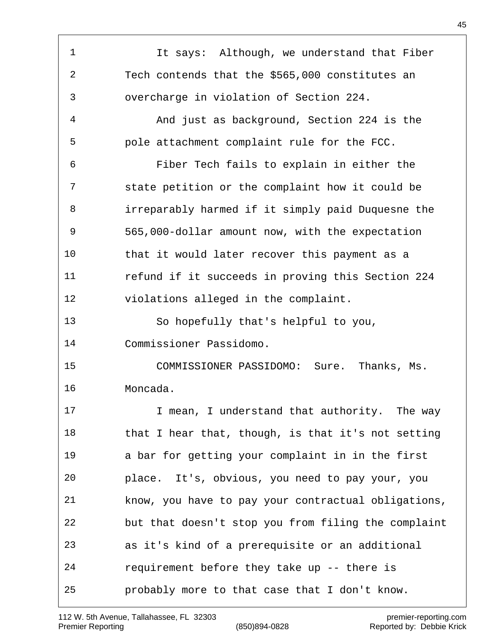1 It says: Although, we understand that Fiber Tech contends that the \$565,000 constitutes an overcharge in violation of Section 224. And just as background, Section 224 is the pole attachment complaint rule for the FCC. Fiber Tech fails to explain in either the state petition or the complaint how it could be irreparably harmed if it simply paid Duquesne the 565,000-dollar amount now, with the expectation that it would later recover this payment as a refund if it succeeds in proving this Section 224 violations alleged in the complaint. So hopefully that's helpful to you, Commissioner Passidomo. COMMISSIONER PASSIDOMO: Sure. Thanks, Ms. Moncada. **I** mean, I understand that authority. The way 18 that I hear that, though, is that it's not setting a bar for getting your complaint in in the first place. It's, obvious, you need to pay your, you know, you have to pay your contractual obligations, but that doesn't stop you from filing the complaint as it's kind of a prerequisite or an additional requirement before they take up -- there is probably more to that case that I don't know.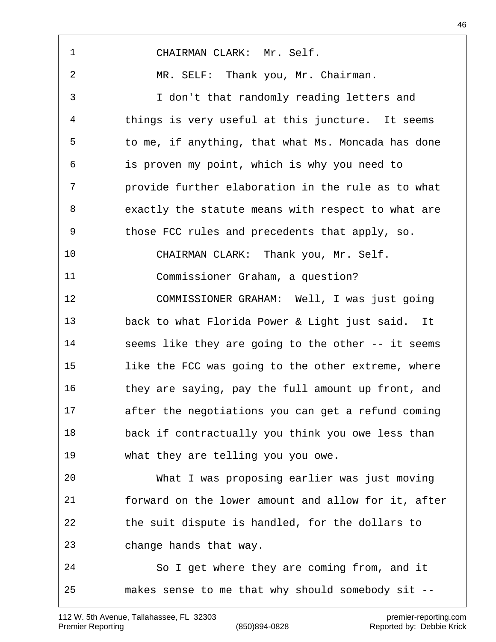| $\mathbf 1$ | CHAIRMAN CLARK: Mr. Self.                           |
|-------------|-----------------------------------------------------|
| 2           | MR. SELF: Thank you, Mr. Chairman.                  |
| 3           | I don't that randomly reading letters and           |
| 4           | things is very useful at this juncture. It seems    |
| 5           | to me, if anything, that what Ms. Moncada has done  |
| 6           | is proven my point, which is why you need to        |
| 7           | provide further elaboration in the rule as to what  |
| 8           | exactly the statute means with respect to what are  |
| 9           | those FCC rules and precedents that apply, so.      |
| 10          | CHAIRMAN CLARK: Thank you, Mr. Self.                |
| 11          | Commissioner Graham, a question?                    |
| 12          | COMMISSIONER GRAHAM: Well, I was just going         |
| 13          | back to what Florida Power & Light just said. It    |
| 14          | seems like they are going to the other -- it seems  |
| 15          | like the FCC was going to the other extreme, where  |
| 16          | they are saying, pay the full amount up front, and  |
| 17          | after the negotiations you can get a refund coming  |
| 18          | back if contractually you think you owe less than   |
| 19          | what they are telling you you owe.                  |
| 20          | What I was proposing earlier was just moving        |
| 21          | forward on the lower amount and allow for it, after |
| 22          | the suit dispute is handled, for the dollars to     |
| 23          | change hands that way.                              |
| 24          | So I get where they are coming from, and it         |
| 25          | makes sense to me that why should somebody sit --   |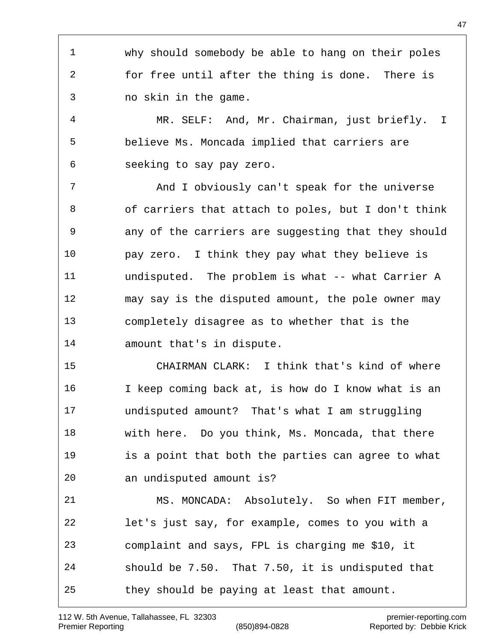why should somebody be able to hang on their poles for free until after the thing is done. There is no skin in the game.

 MR. SELF: And, Mr. Chairman, just briefly. I believe Ms. Moncada implied that carriers are seeking to say pay zero.

 And I obviously can't speak for the universe of carriers that attach to poles, but I don't think any of the carriers are suggesting that they should pay zero. I think they pay what they believe is 11 undisputed. The problem is what -- what Carrier A may say is the disputed amount, the pole owner may completely disagree as to whether that is the amount that's in dispute.

 CHAIRMAN CLARK: I think that's kind of where I keep coming back at, is how do I know what is an undisputed amount? That's what I am struggling with here. Do you think, Ms. Moncada, that there is a point that both the parties can agree to what an undisputed amount is?

 MS. MONCADA: Absolutely. So when FIT member, let's just say, for example, comes to you with a complaint and says, FPL is charging me \$10, it should be 7.50. That 7.50, it is undisputed that they should be paying at least that amount.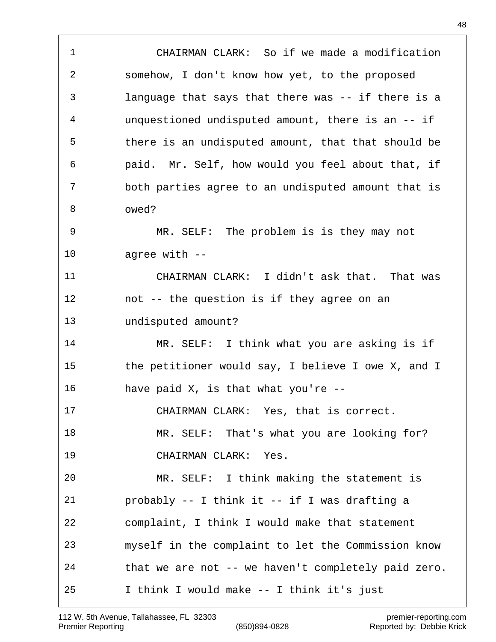CHAIRMAN CLARK: So if we made a modification somehow, I don't know how yet, to the proposed language that says that there was -- if there is a unquestioned undisputed amount, there is an -- if there is an undisputed amount, that that should be paid. Mr. Self, how would you feel about that, if both parties agree to an undisputed amount that is owed? MR. SELF: The problem is is they may not agree with -- CHAIRMAN CLARK: I didn't ask that. That was not -- the question is if they agree on an undisputed amount? MR. SELF: I think what you are asking is if the petitioner would say, I believe I owe X, and I have paid X, is that what you're -- CHAIRMAN CLARK: Yes, that is correct. 18 MR. SELF: That's what you are looking for? CHAIRMAN CLARK: Yes. MR. SELF: I think making the statement is probably -- I think it -- if I was drafting a complaint, I think I would make that statement myself in the complaint to let the Commission know that we are not -- we haven't completely paid zero. I think I would make -- I think it's just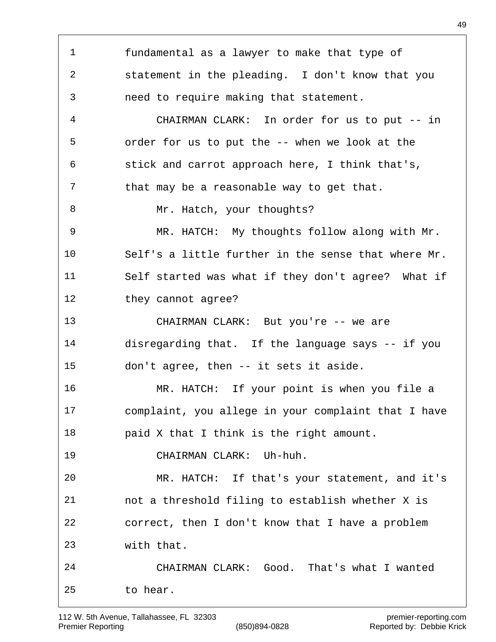fundamental as a lawyer to make that type of statement in the pleading. I don't know that you need to require making that statement. CHAIRMAN CLARK: In order for us to put -- in order for us to put the -- when we look at the stick and carrot approach here, I think that's, 7 that may be a reasonable way to get that. 8 Mr. Hatch, your thoughts? MR. HATCH: My thoughts follow along with Mr. Self's a little further in the sense that where Mr. Self started was what if they don't agree? What if they cannot agree? CHAIRMAN CLARK: But you're -- we are disregarding that. If the language says -- if you don't agree, then -- it sets it aside. MR. HATCH: If your point is when you file a complaint, you allege in your complaint that I have paid X that I think is the right amount. CHAIRMAN CLARK: Uh-huh. MR. HATCH: If that's your statement, and it's not a threshold filing to establish whether X is correct, then I don't know that I have a problem with that. CHAIRMAN CLARK: Good. That's what I wanted to hear.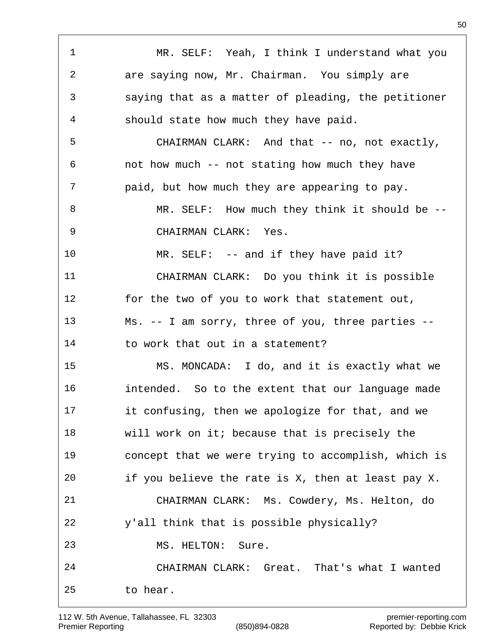MR. SELF: Yeah, I think I understand what you are saying now, Mr. Chairman. You simply are saying that as a matter of pleading, the petitioner should state how much they have paid. CHAIRMAN CLARK: And that -- no, not exactly, not how much -- not stating how much they have paid, but how much they are appearing to pay. 8 MR. SELF: How much they think it should be -- CHAIRMAN CLARK: Yes. MR. SELF: -- and if they have paid it? CHAIRMAN CLARK: Do you think it is possible for the two of you to work that statement out, Ms. -- I am sorry, three of you, three parties -- 14 to work that out in a statement? MS. MONCADA: I do, and it is exactly what we intended. So to the extent that our language made it confusing, then we apologize for that, and we will work on it; because that is precisely the concept that we were trying to accomplish, which is if you believe the rate is X, then at least pay X. CHAIRMAN CLARK: Ms. Cowdery, Ms. Helton, do y'all think that is possible physically? MS. HELTON: Sure. CHAIRMAN CLARK: Great. That's what I wanted to hear.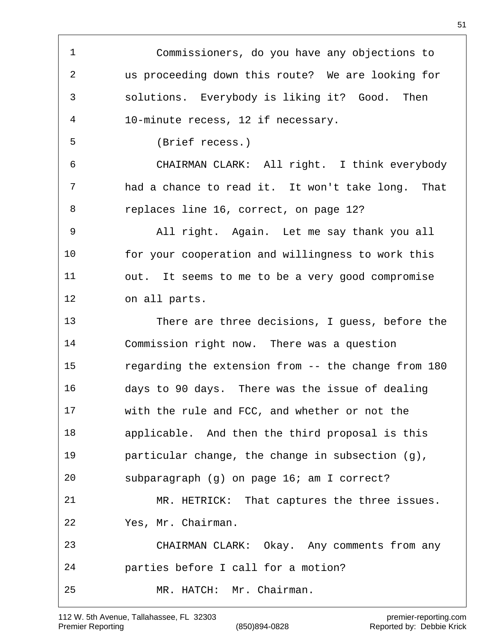Commissioners, do you have any objections to us proceeding down this route? We are looking for solutions. Everybody is liking it? Good. Then 10-minute recess, 12 if necessary. (Brief recess.) CHAIRMAN CLARK: All right. I think everybody had a chance to read it. It won't take long. That replaces line 16, correct, on page 12? All right. Again. Let me say thank you all for your cooperation and willingness to work this out. It seems to me to be a very good compromise on all parts. There are three decisions, I guess, before the Commission right now. There was a question regarding the extension from -- the change from 180 days to 90 days. There was the issue of dealing with the rule and FCC, and whether or not the applicable. And then the third proposal is this particular change, the change in subsection (g), subparagraph (g) on page 16; am I correct? MR. HETRICK: That captures the three issues. Yes, Mr. Chairman. CHAIRMAN CLARK: Okay. Any comments from any parties before I call for a motion? MR. HATCH: Mr. Chairman.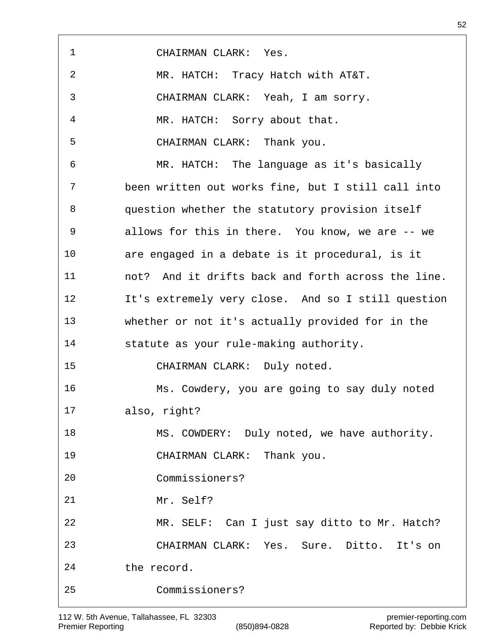| $\mathbf{1}$     | CHAIRMAN CLARK: Yes.                               |
|------------------|----------------------------------------------------|
| $\boldsymbol{2}$ | MR. HATCH: Tracy Hatch with AT&T.                  |
| 3                | CHAIRMAN CLARK: Yeah, I am sorry.                  |
| 4                | MR. HATCH: Sorry about that.                       |
| 5                | CHAIRMAN CLARK: Thank you.                         |
| 6                | MR. HATCH: The language as it's basically          |
| 7                | been written out works fine, but I still call into |
| 8                | question whether the statutory provision itself    |
| $\mathsf 9$      | allows for this in there. You know, we are -- we   |
| 10               | are engaged in a debate is it procedural, is it    |
| 11               | not? And it drifts back and forth across the line. |
| 12               | It's extremely very close. And so I still question |
| 13               | whether or not it's actually provided for in the   |
| 14               | statute as your rule-making authority.             |
| 15               | CHAIRMAN CLARK: Duly noted.                        |
| 16               | Ms. Cowdery, you are going to say duly noted       |
| 17               | also, right?                                       |
| 18               | MS. COWDERY: Duly noted, we have authority.        |
| 19               | CHAIRMAN CLARK: Thank you.                         |
| 20               | Commissioners?                                     |
| 21               | Mr. Self?                                          |
| 22               | MR. SELF: Can I just say ditto to Mr. Hatch?       |
| 23               | CHAIRMAN CLARK: Yes. Sure. Ditto. It's on          |
| 24               | the record.                                        |
| 25               | Commissioners?                                     |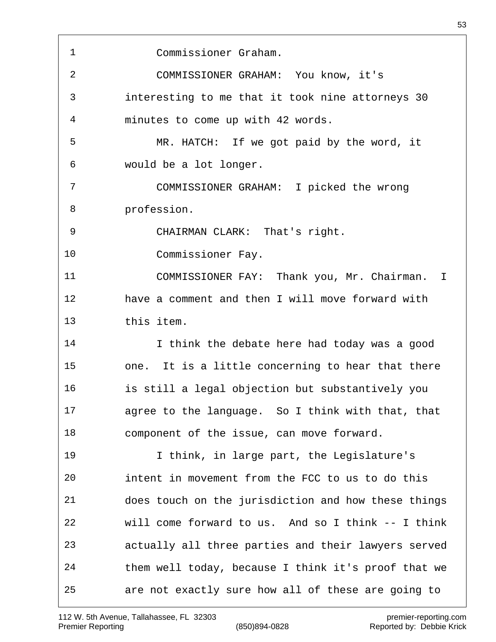| 1  | Commissioner Graham.                                 |
|----|------------------------------------------------------|
| 2  | COMMISSIONER GRAHAM: You know, it's                  |
| 3  | interesting to me that it took nine attorneys 30     |
| 4  | minutes to come up with 42 words.                    |
| 5  | MR. HATCH: If we got paid by the word, it            |
| 6  | would be a lot longer.                               |
| 7  | COMMISSIONER GRAHAM: I picked the wrong              |
| 8  | profession.                                          |
| 9  | CHAIRMAN CLARK: That's right.                        |
| 10 | Commissioner Fay.                                    |
| 11 | COMMISSIONER FAY: Thank you, Mr. Chairman. I         |
| 12 | have a comment and then I will move forward with     |
| 13 | this item.                                           |
| 14 | I think the debate here had today was a good         |
| 15 | It is a little concerning to hear that there<br>one. |
| 16 | is still a legal objection but substantively you     |
| 17 | agree to the language. So I think with that, that    |
| 18 | component of the issue, can move forward.            |
| 19 | I think, in large part, the Legislature's            |
| 20 | intent in movement from the FCC to us to do this     |
| 21 | does touch on the jurisdiction and how these things  |
| 22 | will come forward to us. And so I think -- I think   |
| 23 | actually all three parties and their lawyers served  |
| 24 | them well today, because I think it's proof that we  |
| 25 | are not exactly sure how all of these are going to   |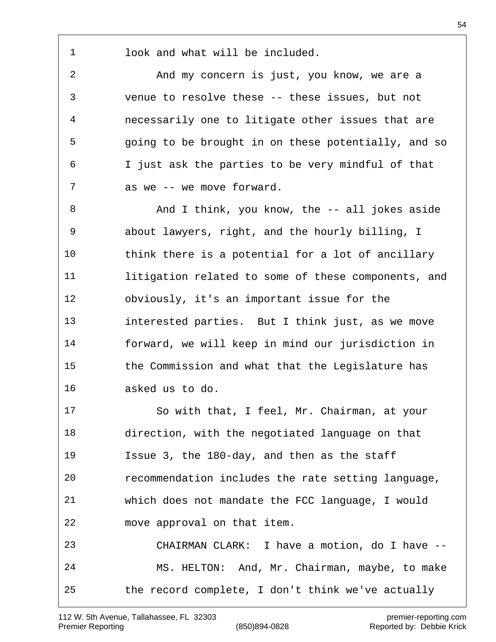recommendation includes the rate setting language,

 which does not mandate the FCC language, I would move approval on that item.

Issue 3, the 180-day, and then as the staff

 CHAIRMAN CLARK: I have a motion, do I have -- MS. HELTON: And, Mr. Chairman, maybe, to make the record complete, I don't think we've actually

look and what will be included.

 And my concern is just, you know, we are a venue to resolve these -- these issues, but not necessarily one to litigate other issues that are going to be brought in on these potentially, and so I just ask the parties to be very mindful of that as we -- we move forward.

8 And I think, you know, the -- all jokes aside about lawyers, right, and the hourly billing, I think there is a potential for a lot of ancillary litigation related to some of these components, and obviously, it's an important issue for the interested parties. But I think just, as we move forward, we will keep in mind our jurisdiction in the Commission and what that the Legislature has asked us to do.

So with that, I feel, Mr. Chairman, at your

direction, with the negotiated language on that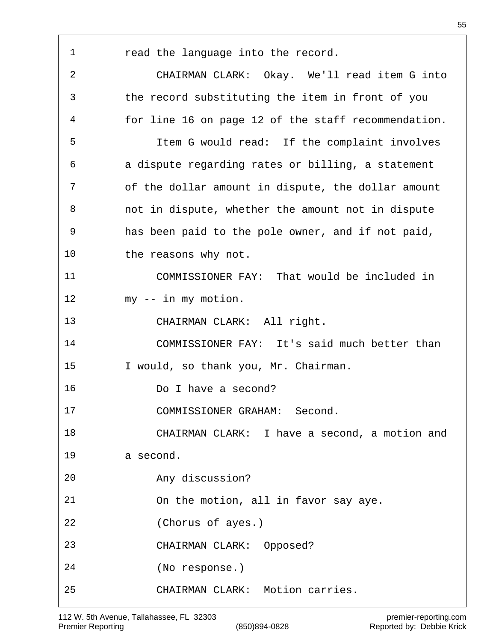| 1              | read the language into the record.                  |
|----------------|-----------------------------------------------------|
| $\overline{2}$ | CHAIRMAN CLARK: Okay. We'll read item G into        |
| 3              | the record substituting the item in front of you    |
| 4              | for line 16 on page 12 of the staff recommendation. |
| 5              | Item G would read: If the complaint involves        |
| 6              | a dispute regarding rates or billing, a statement   |
| 7              | of the dollar amount in dispute, the dollar amount  |
| 8              | not in dispute, whether the amount not in dispute   |
| 9              | has been paid to the pole owner, and if not paid,   |
| 10             | the reasons why not.                                |
| 11             | COMMISSIONER FAY: That would be included in         |
| 12             | my -- in my motion.                                 |
| 13             | CHAIRMAN CLARK: All right.                          |
| 14             | COMMISSIONER FAY: It's said much better than        |
| 15             | I would, so thank you, Mr. Chairman.                |
| 16             | Do I have a second?                                 |
| 17             | COMMISSIONER GRAHAM: Second.                        |
| 18             | CHAIRMAN CLARK: I have a second, a motion and       |
| 19             | a second.                                           |
| 20             | Any discussion?                                     |
| 21             | On the motion, all in favor say aye.                |
| 22             | (Chorus of ayes.)                                   |
| 23             | CHAIRMAN CLARK: Opposed?                            |
| 24             | (No response.)                                      |
| 25             | CHAIRMAN CLARK: Motion carries.                     |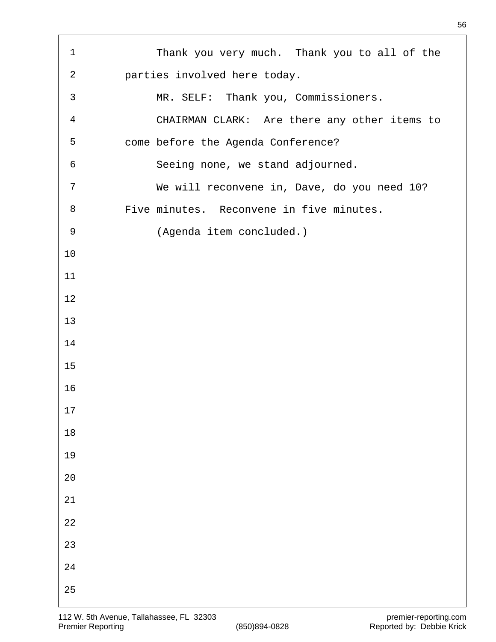| $\mathbf{1}$   | Thank you very much. Thank you to all of the |
|----------------|----------------------------------------------|
| $\overline{2}$ | parties involved here today.                 |
| 3              | MR. SELF: Thank you, Commissioners.          |
| $\overline{4}$ | CHAIRMAN CLARK: Are there any other items to |
| 5              | come before the Agenda Conference?           |
| $\epsilon$     | Seeing none, we stand adjourned.             |
| 7              | We will reconvene in, Dave, do you need 10?  |
| 8              | Five minutes. Reconvene in five minutes.     |
| 9              | (Agenda item concluded.)                     |
| 10             |                                              |
| 11             |                                              |
| 12             |                                              |
| 13             |                                              |
| 14             |                                              |
| 15             |                                              |
| 16             |                                              |
| 17             |                                              |
| $18\,$         |                                              |
| 19             |                                              |
| $20$           |                                              |
| 21             |                                              |
| 22             |                                              |
| 23             |                                              |
| 24             |                                              |
| 25             |                                              |